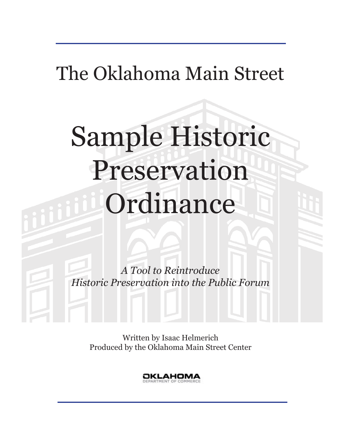## The Oklahoma Main Street

# Sample Historic Preservation Ordinance

*A Tool to Reintroduce Historic Preservation into the Public Forum*

Written by Isaac Helmerich Produced by the Oklahoma Main Street Center

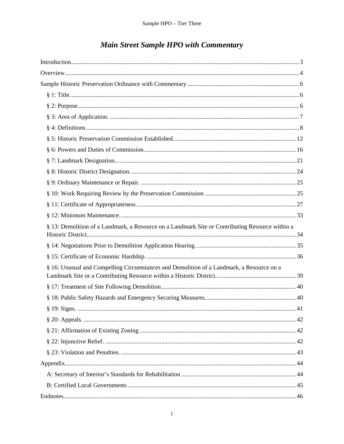### **Main Street Sample HPO with Commentary**

<span id="page-1-0"></span>

| § 13: Demolition of a Landmark, a Resource on a Landmark Site or Contributing Resource within a |  |
|-------------------------------------------------------------------------------------------------|--|
|                                                                                                 |  |
|                                                                                                 |  |
| § 16: Unusual and Compelling Circumstances and Demolition of a Landmark, a Resource on a        |  |
|                                                                                                 |  |
|                                                                                                 |  |
|                                                                                                 |  |
|                                                                                                 |  |
|                                                                                                 |  |
|                                                                                                 |  |
|                                                                                                 |  |
|                                                                                                 |  |
|                                                                                                 |  |
|                                                                                                 |  |
|                                                                                                 |  |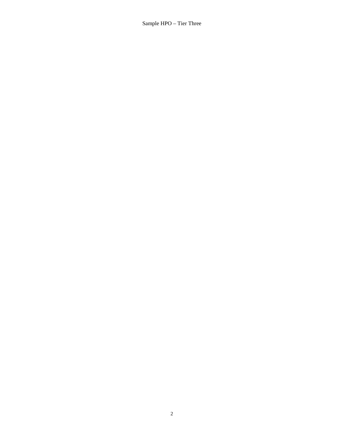Sample HPO – Tier Three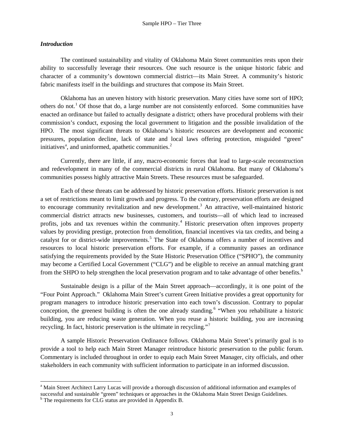#### <span id="page-3-0"></span>*Introduction*

The continued sustainability and vitality of Oklahoma Main Street communities rests upon their ability to successfully leverage their resources. One such resource is the unique historic fabric and character of a community's downtown commercial district—its Main Street. A community's historic fabric manifests itself in the buildings and structures that compose its Main Street.

Oklahoma has an uneven history with historic preservation. Many cities have some sort of HPO; others do not.<sup>[1](#page-46-1)</sup> Of those that do, a large number are not consistently enforced. Some communities have enacted an ordinance but failed to actually designate a district; others have procedural problems with their commission's conduct, exposing the local government to litigation and the possible invalidation of the HPO. The most significant threats to Oklahoma's historic resources are development and economic pressures, population decline, lack of state and local laws offering protection, misguided "green" initi[a](#page-1-0)tives<sup>a</sup>, and uninformed, apathetic communities.<sup>[2](#page-46-2)</sup>

Currently, there are little, if any, macro-economic forces that lead to large-scale reconstruction and redevelopment in many of the commercial districts in rural Oklahoma. But many of Oklahoma's communities possess highly attractive Main Streets. These resources must be safeguarded.

Each of these threats can be addressed by historic preservation efforts. Historic preservation is not a set of restrictions meant to limit growth and progress. To the contrary, preservation efforts are designed to encourage community revitalization and new development.<sup>[3](#page-46-3)</sup> An attractive, well-maintained historic commercial district attracts new businesses, customers, and tourists—all of which lead to increased profits, jobs and tax revenues within the community.[4](#page-46-4) Historic preservation often improves property values by providing prestige, protection from demolition, financial incentives via tax credits, and being a catalyst for or district-wide improvements.<sup>[5](#page-46-5)</sup> The State of Oklahoma offers a number of incentives and resources to local historic preservation efforts. For example, if a community passes an ordinance satisfying the requirements provided by the State Historic Preservation Office ("SPHO"), the community may become a Certified Local Government ("CLG") and be eligible to receive an annual matching grant from the SHPO to help strengthen the local preservation program and to take advantage of other [b](#page-3-1)enefits.<sup>b</sup>

Sustainable design is a pillar of the Main Street approach—accordingly, it is one point of the "Four Point Approach." Oklahoma Main Street's current Green Initiative provides a great opportunity for program managers to introduce historic preservation into each town's discussion. Contrary to popular conception, the greenest building is often the one already standing.<sup>[6](#page-46-6)</sup> "When you rehabilitate a historic building, you are reducing waste generation. When you reuse a historic building, you are increasing recycling. In fact, historic preservation is the ultimate in recycling."[7](#page-46-7)

A sample Historic Preservation Ordinance follows. Oklahoma Main Street's primarily goal is to provide a tool to help each Main Street Manager reintroduce historic preservation to the public forum. Commentary is included throughout in order to equip each Main Street Manager, city officials, and other stakeholders in each community with sufficient information to participate in an informed discussion.

<span id="page-3-2"></span><sup>&</sup>lt;sup>a</sup> Main Street Architect Larry Lucas will provide a thorough discussion of additional information and examples of successful and sustainable "green" techniques or approaches in the Oklahoma Main Street Design Guidelines. b The requirements for CLG status are provided in Appendix B.

<span id="page-3-1"></span>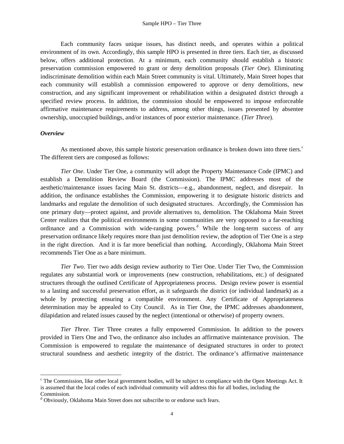Each community faces unique issues, has distinct needs, and operates within a political environment of its own. Accordingly, this sample HPO is presented in three tiers. Each tier, as discussed below, offers additional protection. At a minimum, each community should establish a historic preservation commission empowered to grant or deny demolition proposals (*Tier One*). Eliminating indiscriminate demolition within each Main Street community is vital. Ultimately, Main Street hopes that each community will establish a commission empowered to approve or deny demolitions, new construction, and any significant improvement or rehabilitation within a designated district through a specified review process. In addition, the commission should be empowered to impose enforceable affirmative maintenance requirements to address, among other things, issues presented by absentee ownership, unoccupied buildings, and/or instances of poor exterior maintenance. (*Tier Three*).

#### <span id="page-4-0"></span>*Overview*

As mentioned above, this sample histori[c](#page-3-2) preservation ordinance is broken down into three tiers.<sup>c</sup> The different tiers are composed as follows:

*Tier One*. Under Tier One, a community will adopt the Property Maintenance Code (IPMC) and establish a Demolition Review Board (the Commission). The IPMC addresses most of the aesthetic/maintenance issues facing Main St. districts—e.g., abandonment, neglect, and disrepair. In addition, the ordinance establishes the Commission, empowering it to designate historic districts and landmarks and regulate the demolition of such designated structures. Accordingly, the Commission has one primary duty—protect against, and provide alternatives to, demolition. The Oklahoma Main Street Center realizes that the political environments in some communities are very opposed to a far-reaching or[d](#page-4-1)inance and a Commission with wide-ranging powers.<sup>d</sup> While the long-term success of any preservation ordinance likely requires more than just demolition review, the adoption of Tier One is a step in the right direction. And it is far more beneficial than nothing. Accordingly, Oklahoma Main Street recommends Tier One as a bare minimum.

*Tier Two*. Tier two adds design review authority to Tier One. Under Tier Two, the Commission regulates any substantial work or improvements (new construction, rehabilitations, etc.) of designated structures through the outlined Certificate of Appropriateness process. Design review power is essential to a lasting and successful preservation effort, as it safeguards the district (or individual landmark) as a whole by protecting ensuring a compatible environment. Any Certificate of Appropriateness determination may be appealed to City Council. As in Tier One, the IPMC addresses abandonment, dilapidation and related issues caused by the neglect (intentional or otherwise) of property owners.

*Tier Three*. Tier Three creates a fully empowered Commission. In addition to the powers provided in Tiers One and Two, the ordinance also includes an affirmative maintenance provision. The Commission is empowered to regulate the maintenance of designated structures in order to protect structural soundness and aesthetic integrity of the district. The ordinance's affirmative maintenance

<sup>&</sup>lt;sup>c</sup> The Commission, like other local government bodies, will be subject to compliance with the Open Meetings Act. It is assumed that the local codes of each individual community will address this for all bodies, including the Commission.

<span id="page-4-2"></span><span id="page-4-1"></span><sup>&</sup>lt;sup>d</sup> Obviously, Oklahoma Main Street does not subscribe to or endorse such fears.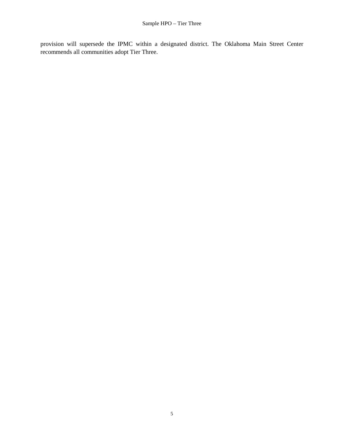provision will supersede the IPMC within a designated district. The Oklahoma Main Street Center recommends all communities adopt Tier Three.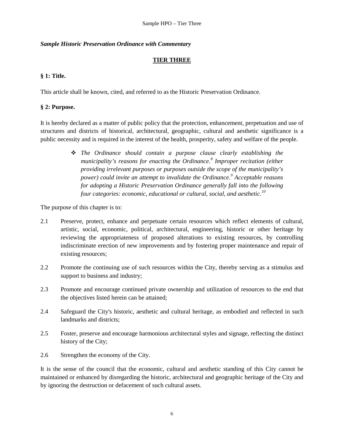#### <span id="page-6-0"></span>*Sample Historic Preservation Ordinance with Commentary*

#### **TIER THREE**

#### <span id="page-6-1"></span>**§ 1: Title.**

<span id="page-6-2"></span>This article shall be known, cited, and referred to as the Historic Preservation Ordinance.

#### **§ 2: Purpose.**

It is hereby declared as a matter of public policy that the protection, enhancement, perpetuation and use of structures and districts of historical, architectural, geographic, cultural and aesthetic significance is a public necessity and is required in the interest of the health, prosperity, safety and welfare of the people.

> *The Ordinance should contain a purpose clause clearly establishing the municipality's reasons for enacting the Ordinance.[8](#page-46-8) Improper recitation (either providing irrelevant purposes or purposes outside the scope of the municipality's power) could invite an attempt to invalidate the Ordinance.[9](#page-46-9) Acceptable reasons for adopting a Historic Preservation Ordinance generally fall into the following four categories: economic, educational or cultural, social, and aesthetic.[10](#page-46-10)*

The purpose of this chapter is to:

- 2.1 Preserve, protect, enhance and perpetuate certain resources which reflect elements of cultural, artistic, social, economic, political, architectural, engineering, historic or other heritage by reviewing the appropriateness of proposed alterations to existing resources, by controlling indiscriminate erection of new improvements and by fostering proper maintenance and repair of existing resources;
- 2.2 Promote the continuing use of such resources within the City, thereby serving as a stimulus and support to business and industry;
- 2.3 Promote and encourage continued private ownership and utilization of resources to the end that the objectives listed herein can be attained;
- 2.4 Safeguard the City's historic, aesthetic and cultural heritage, as embodied and reflected in such landmarks and districts;
- 2.5 Foster, preserve and encourage harmonious architectural styles and signage, reflecting the distinct history of the City;
- 2.6 Strengthen the economy of the City.

It is the sense of the council that the economic, cultural and aesthetic standing of this City cannot be maintained or enhanced by disregarding the historic, architectural and geographic heritage of the City and by ignoring the destruction or defacement of such cultural assets.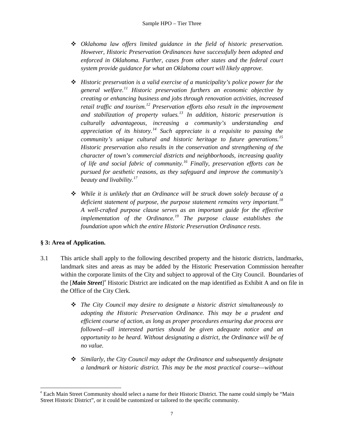- *Oklahoma law offers limited guidance in the field of historic preservation. However, Historic Preservation Ordinances have successfully been adopted and enforced in Oklahoma. Further, cases from other states and the federal court system provide guidance for what an Oklahoma court will likely approve.*
- *Historic preservation is a valid exercise of a municipality's police power for the general welfare.[11](#page-46-11) Historic preservation furthers an economic objective by creating or enhancing business and jobs through renovation activities, increased retail traffic and tourism.[12](#page-46-12) Preservation efforts also result in the improvement and stabilization of property values.[13](#page-46-13) In addition, historic preservation is culturally advantageous, increasing a community's understanding and appreciation of its history.[14](#page-47-0) Such appreciate is a requisite to passing the community's unique cultural and historic heritage to future generations.[15](#page-47-1) Historic preservation also results in the conservation and strengthening of the character of town's commercial districts and neighborhoods, increasing quality of life and social fabric of community.[16](#page-47-2) Finally, preservation efforts can be pursued for aesthetic reasons, as they safeguard and improve the community's beauty and livability.[17](#page-47-3)*
- *While it is unlikely that an Ordinance will be struck down solely because of a deficient statement of purpose, the purpose statement remains very important.[18](#page-47-4) A well-crafted purpose clause serves as an important guide for the effective implementation of the Ordinance.[19](#page-47-5) The purpose clause establishes the foundation upon which the entire Historic Preservation Ordinance rests.*

#### <span id="page-7-0"></span>**§ 3: Area of Application.**

- 3.1 This article shall apply to the following described property and the historic districts, landmarks, landmark sites and areas as may be added by the Historic Preservation Commission hereafter within the corporate limits of the City and subject to approval of the City Council. Boundaries of th[e](#page-4-2) [*Main Street*]<sup>e</sup> Historic District are indicated on the map identified as Exhibit A and on file in the Office of the City Clerk.
	- *The City Council may desire to designate a historic district simultaneously to adopting the Historic Preservation Ordinance. This may be a prudent and efficient course of action, as long as proper procedures ensuring due process are followed—all interested parties should be given adequate notice and an opportunity to be heard. Without designating a district, the Ordinance will be of no value.*
	- *Similarly, the City Council may adopt the Ordinance and subsequently designate a landmark or historic district. This may be the most practical course—without*

<span id="page-7-1"></span>e Each Main Street Community should select a name for their Historic District. The name could simply be "Main Street Historic District", or it could be customized or tailored to the specific community.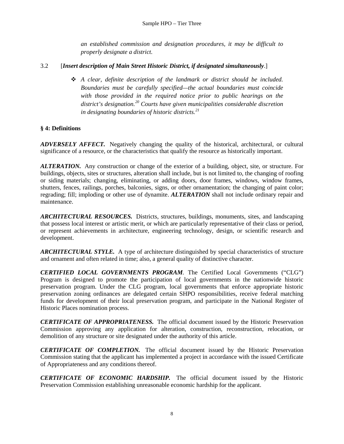*an established commission and designation procedures, it may be difficult to properly designate a district.* 

#### 3.2 [*Insert description of Main Street Historic District, if designated simultaneously*.]

 *A clear, definite description of the landmark or district should be included. Boundaries must be carefully specified—the actual boundaries must coincide with those provided in the required notice prior to public hearings on the district's designation.[20](#page-47-6) Courts have given municipalities considerable discretion in designating boundaries of historic districts.[21](#page-47-7)*

#### <span id="page-8-0"></span>**§ 4: Definitions**

*ADVERSELY AFFECT.* Negatively changing the quality of the historical, architectural, or cultural significance of a resource, or the characteristics that qualify the resource as historically important.

*ALTERATION.* Any construction or change of the exterior of a building, object, site, or structure. For buildings, objects, sites or structures, alteration shall include, but is not limited to, the changing of roofing or siding materials; changing, eliminating, or adding doors, door frames, windows, window frames, shutters, fences, railings, porches, balconies, signs, or other ornamentation; the changing of paint color; regrading; fill; imploding or other use of dynamite. *ALTERATION* shall not include ordinary repair and maintenance.

*ARCHITECTURAL RESOURCES.* Districts, structures, buildings, monuments, sites, and landscaping that possess local interest or artistic merit, or which are particularly representative of their class or period, or represent achievements in architecture, engineering technology, design, or scientific research and development.

*ARCHITECTURAL STYLE.* A type of architecture distinguished by special characteristics of structure and ornament and often related in time; also, a general quality of distinctive character.

*CERTIFIED LOCAL GOVERNMENTS PROGRAM.* The Certified Local Governments ("CLG") Program is designed to promote the participation of local governments in the nationwide historic preservation program. Under the CLG program, local governments that enforce appropriate historic preservation zoning ordinances are delegated certain SHPO responsibilities, receive federal matching funds for development of their local preservation program, and participate in the National Register of Historic Places nomination process.

*CERTIFICATE OF APPROPRIATENESS.* The official document issued by the Historic Preservation Commission approving any application for alteration, construction, reconstruction, relocation, or demolition of any structure or site designated under the authority of this article.

*CERTIFICATE OF COMPLETION.* The official document issued by the Historic Preservation Commission stating that the applicant has implemented a project in accordance with the issued Certificate of Appropriateness and any conditions thereof.

*CERTIFICATE OF ECONOMIC HARDSHIP.* The official document issued by the Historic Preservation Commission establishing unreasonable economic hardship for the applicant.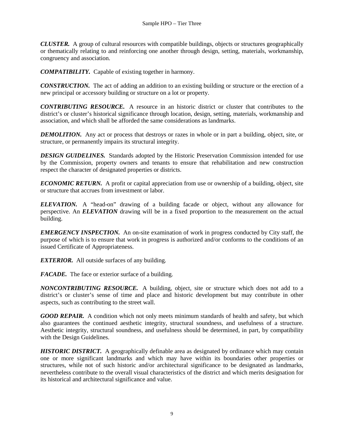*CLUSTER.* A group of cultural resources with compatible buildings, objects or structures geographically or thematically relating to and reinforcing one another through design, setting, materials, workmanship, congruency and association.

*COMPATIBILITY.* Capable of existing together in harmony.

*CONSTRUCTION.* The act of adding an addition to an existing building or structure or the erection of a new principal or accessory building or structure on a lot or property.

*CONTRIBUTING RESOURCE.* A resource in an historic district or cluster that contributes to the district's or cluster's historical significance through location, design, setting, materials, workmanship and association, and which shall be afforded the same considerations as landmarks.

*DEMOLITION.* Any act or process that destroys or razes in whole or in part a building, object, site, or structure, or permanently impairs its structural integrity.

*DESIGN GUIDELINES.* Standards adopted by the Historic Preservation Commission intended for use by the Commission, property owners and tenants to ensure that rehabilitation and new construction respect the character of designated properties or districts.

*ECONOMIC RETURN.* A profit or capital appreciation from use or ownership of a building, object, site or structure that accrues from investment or labor.

*ELEVATION.* A "head-on" drawing of a building facade or object, without any allowance for perspective. An *ELEVATION* drawing will be in a fixed proportion to the measurement on the actual building.

*EMERGENCY INSPECTION.* An on-site examination of work in progress conducted by City staff, the purpose of which is to ensure that work in progress is authorized and/or conforms to the conditions of an issued Certificate of Appropriateness.

*EXTERIOR.* All outside surfaces of any building.

*FACADE.* The face or exterior surface of a building.

*NONCONTRIBUTING RESOURCE.* A building, object, site or structure which does not add to a district's or cluster's sense of time and place and historic development but may contribute in other aspects, such as contributing to the street wall.

*GOOD REPAIR.* A condition which not only meets minimum standards of health and safety, but which also guarantees the continued aesthetic integrity, structural soundness, and usefulness of a structure. Aesthetic integrity, structural soundness, and usefulness should be determined, in part, by compatibility with the Design Guidelines.

**HISTORIC DISTRICT.** A geographically definable area as designated by ordinance which may contain one or more significant landmarks and which may have within its boundaries other properties or structures, while not of such historic and/or architectural significance to be designated as landmarks, nevertheless contribute to the overall visual characteristics of the district and which merits designation for its historical and architectural significance and value.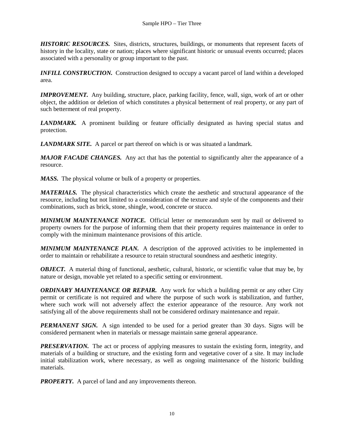*HISTORIC RESOURCES.* Sites, districts, structures, buildings, or monuments that represent facets of history in the locality, state or nation; places where significant historic or unusual events occurred; places associated with a personality or group important to the past.

**INFILL CONSTRUCTION.** Construction designed to occupy a vacant parcel of land within a developed area.

*IMPROVEMENT.* Any building, structure, place, parking facility, fence, wall, sign, work of art or other object, the addition or deletion of which constitutes a physical betterment of real property, or any part of such betterment of real property.

*LANDMARK.* A prominent building or feature officially designated as having special status and protection.

*LANDMARK SITE.* A parcel or part thereof on which is or was situated a landmark.

*MAJOR FACADE CHANGES.* Any act that has the potential to significantly alter the appearance of a resource.

*MASS.* The physical volume or bulk of a property or properties.

*MATERIALS.* The physical characteristics which create the aesthetic and structural appearance of the resource, including but not limited to a consideration of the texture and style of the components and their combinations, such as brick, stone, shingle, wood, concrete or stucco.

*MINIMUM MAINTENANCE NOTICE.* Official letter or memorandum sent by mail or delivered to property owners for the purpose of informing them that their property requires maintenance in order to comply with the minimum maintenance provisions of this article.

*MINIMUM MAINTENANCE PLAN.* A description of the approved activities to be implemented in order to maintain or rehabilitate a resource to retain structural soundness and aesthetic integrity.

*OBJECT.* A material thing of functional, aesthetic, cultural, historic, or scientific value that may be, by nature or design, movable yet related to a specific setting or environment.

*ORDINARY MAINTENANCE OR REPAIR.* Any work for which a building permit or any other City permit or certificate is not required and where the purpose of such work is stabilization, and further, where such work will not adversely affect the exterior appearance of the resource. Any work not satisfying all of the above requirements shall not be considered ordinary maintenance and repair.

*PERMANENT SIGN.* A sign intended to be used for a period greater than 30 days. Signs will be considered permanent when in materials or message maintain same general appearance.

**PRESERVATION.** The act or process of applying measures to sustain the existing form, integrity, and materials of a building or structure, and the existing form and vegetative cover of a site. It may include initial stabilization work, where necessary, as well as ongoing maintenance of the historic building materials.

*PROPERTY.* A parcel of land and any improvements thereon.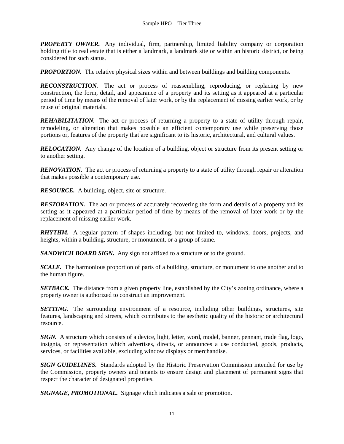*PROPERTY OWNER.* Any individual, firm, partnership, limited liability company or corporation holding title to real estate that is either a landmark, a landmark site or within an historic district, or being considered for such status.

*PROPORTION.* The relative physical sizes within and between buildings and building components.

**RECONSTRUCTION.** The act or process of reassembling, reproducing, or replacing by new construction, the form, detail, and appearance of a property and its setting as it appeared at a particular period of time by means of the removal of later work, or by the replacement of missing earlier work, or by reuse of original materials.

*REHABILITATION*. The act or process of returning a property to a state of utility through repair, remodeling, or alteration that makes possible an efficient contemporary use while preserving those portions or, features of the property that are significant to its historic, architectural, and cultural values.

*RELOCATION.* Any change of the location of a building, object or structure from its present setting or to another setting.

*RENOVATION.* The act or process of returning a property to a state of utility through repair or alteration that makes possible a contemporary use.

*RESOURCE.* A building, object, site or structure.

*RESTORATION.* The act or process of accurately recovering the form and details of a property and its setting as it appeared at a particular period of time by means of the removal of later work or by the replacement of missing earlier work.

*RHYTHM.* A regular pattern of shapes including, but not limited to, windows, doors, projects, and heights, within a building, structure, or monument, or a group of same.

*SANDWICH BOARD SIGN.* Any sign not affixed to a structure or to the ground.

*SCALE.* The harmonious proportion of parts of a building, structure, or monument to one another and to the human figure.

*SETBACK.* The distance from a given property line, established by the City's zoning ordinance, where a property owner is authorized to construct an improvement.

**SETTING.** The surrounding environment of a resource, including other buildings, structures, site features, landscaping and streets, which contributes to the aesthetic quality of the historic or architectural resource.

*SIGN.* A structure which consists of a device, light, letter, word, model, banner, pennant, trade flag, logo, insignia, or representation which advertises, directs, or announces a use conducted, goods, products, services, or facilities available, excluding window displays or merchandise.

*SIGN GUIDELINES.* Standards adopted by the Historic Preservation Commission intended for use by the Commission, property owners and tenants to ensure design and placement of permanent signs that respect the character of designated properties.

*SIGNAGE, PROMOTIONAL.* Signage which indicates a sale or promotion.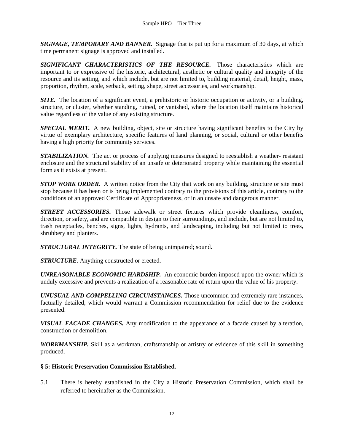*SIGNAGE, TEMPORARY AND BANNER.* Signage that is put up for a maximum of 30 days, at which time permanent signage is approved and installed.

*SIGNIFICANT CHARACTERISTICS OF THE RESOURCE.* Those characteristics which are important to or expressive of the historic, architectural, aesthetic or cultural quality and integrity of the resource and its setting, and which include, but are not limited to, building material, detail, height, mass, proportion, rhythm, scale, setback, setting, shape, street accessories, and workmanship.

*SITE.* The location of a significant event, a prehistoric or historic occupation or activity, or a building, structure, or cluster, whether standing, ruined, or vanished, where the location itself maintains historical value regardless of the value of any existing structure.

**SPECIAL MERIT.** A new building, object, site or structure having significant benefits to the City by virtue of exemplary architecture, specific features of land planning, or social, cultural or other benefits having a high priority for community services.

*STABILIZATION*. The act or process of applying measures designed to reestablish a weather-resistant enclosure and the structural stability of an unsafe or deteriorated property while maintaining the essential form as it exists at present.

*STOP WORK ORDER.* A written notice from the City that work on any building, structure or site must stop because it has been or is being implemented contrary to the provisions of this article, contrary to the conditions of an approved Certificate of Appropriateness, or in an unsafe and dangerous manner.

*STREET ACCESSORIES.* Those sidewalk or street fixtures which provide cleanliness, comfort, direction, or safety, and are compatible in design to their surroundings, and include, but are not limited to, trash receptacles, benches, signs, lights, hydrants, and landscaping, including but not limited to trees, shrubbery and planters.

*STRUCTURAL INTEGRITY.* The state of being unimpaired; sound.

*STRUCTURE.* Anything constructed or erected.

*UNREASONABLE ECONOMIC HARDSHIP.* An economic burden imposed upon the owner which is unduly excessive and prevents a realization of a reasonable rate of return upon the value of his property.

*UNUSUAL AND COMPELLING CIRCUMSTANCES.* Those uncommon and extremely rare instances, factually detailed, which would warrant a Commission recommendation for relief due to the evidence presented.

*VISUAL FACADE CHANGES.* Any modification to the appearance of a facade caused by alteration, construction or demolition.

*WORKMANSHIP.* Skill as a workman, craftsmanship or artistry or evidence of this skill in something produced.

#### <span id="page-12-0"></span>**§ 5: Historic Preservation Commission Established.**

5.1 There is hereby established in the City a Historic Preservation Commission, which shall be referred to hereinafter as the Commission.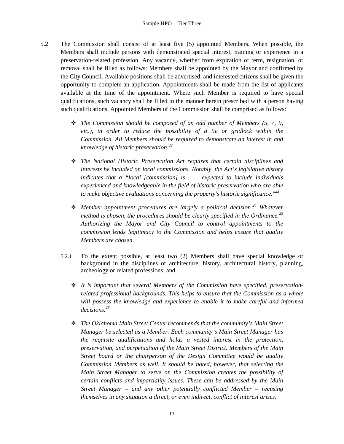- 5.2 The Commission shall consist of at least five (5) appointed Members. When possible, the Members shall include persons with demonstrated special interest, training or experience in a preservation-related profession. Any vacancy, whether from expiration of term, resignation, or removal shall be filled as follows: Members shall be appointed by the Mayor and confirmed by the City Council. Available positions shall be advertised, and interested citizens shall be given the opportunity to complete an application. Appointments shall be made from the list of applicants available at the time of the appointment. Where such Member is required to have special qualifications, such vacancy shall be filled in the manner herein prescribed with a person having such qualifications. Appointed Members of the Commission shall be comprised as follows:
	- *The Commission should be composed of an odd number of Members (5, 7, 9, etc.), in order to reduce the possibility of a tie or gridlock within the Commission. All Members should be required to demonstrate an interest in and knowledge of historic preservation.[22](#page-47-8)*
	- *The National Historic Preservation Act requires that certain disciplines and interests be included on local commissions. Notably, the Act's legislative history indicates that a "local [commission] is . . . expected to include individuals experienced and knowledgeable in the field of historic preservation who are able to make objective evaluations concerning the property's historic significance."[23](#page-47-9)*
	- *Member appointment procedures are largely a political decision.[24](#page-47-10) Whatever method is chosen, the procedures should be clearly specified in the Ordinance.[25](#page-47-11) Authorizing the Mayor and City Council to control appointments to the commission lends legitimacy to the Commission and helps ensure that quality Members are chosen.*
	- 5.2.1 To the extent possible, at least two (2) Members shall have special knowledge or background in the disciplines of architecture, history, architectural history, planning, archeology or related professions; and
		- *It is important that several Members of the Commission have specified, preservationrelated professional backgrounds. This helps to ensure that the Commission as a whole will possess the knowledge and experience to enable it to make careful and informed decisions.[26](#page-47-12)*
		- *The Oklahoma Main Street Center recommends that the community's Main Street Manager be selected as a Member. Each community's Main Street Manager has the requisite qualifications and holds a vested interest in the protection, preservation, and perpetuation of the Main Street District. Members of the Main Street board or the chairperson of the Design Committee would be quality Commission Members as well. It should be noted, however, that selecting the Main Street Manager to serve on the Commission creates the possibility of certain conflicts and impartiality issues. These can be addressed by the Main Street Manager – and any other potentially conflicted Member – recusing themselves in any situation a direct, or even indirect, conflict of interest arises.*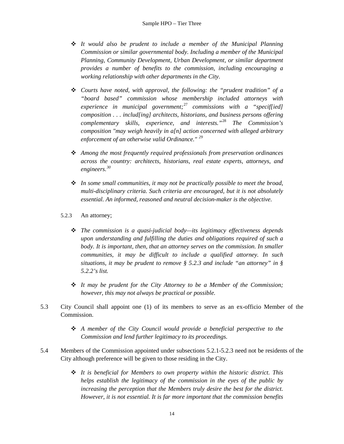- *It would also be prudent to include a member of the Municipal Planning Commission or similar governmental body. Including a member of the Municipal Planning, Community Development, Urban Development, or similar department provides a number of benefits to the commission, including encouraging a working relationship with other departments in the City.*
- *Courts have noted, with approval, the following: the "prudent tradition" of a "board based" commission whose membership included attorneys with experience in municipal government;*[27](#page-47-13) *commissions with a "specif[ied] composition . . . includ[ing] architects, historians, and business persons offering complementary skills, experience, and interests."*[28](#page-47-14) *The Commission's composition "may weigh heavily in a[n] action concerned with alleged arbitrary enforcement of an otherwise valid Ordinance." [29](#page-47-15)*
- *Among the most frequently required professionals from preservation ordinances across the country: architects, historians, real estate experts, attorneys, and engineers. [30](#page-48-0)*
- *In some small communities, it may not be practically possible to meet the broad, multi-disciplinary criteria. Such criteria are encouraged, but it is not absolutely essential. An informed, reasoned and neutral decision-maker is the objective.*
- 5.2.3 An attorney;
	- *The commission is a quasi-judicial body—its legitimacy effectiveness depends upon understanding and fulfilling the duties and obligations required of such a body. It is important, then, that an attorney serves on the commission. In smaller communities, it may be difficult to include a qualified attorney. In such situations, it may be prudent to remove § 5.2.3 and include "an attorney" in § 5.2.2's list.*
	- *It may be prudent for the City Attorney to be a Member of the Commission; however, this may not always be practical or possible.*
- 5.3 City Council shall appoint one (1) of its members to serve as an ex-officio Member of the Commission.
	- *A member of the City Council would provide a beneficial perspective to the Commission and lend further legitimacy to its proceedings.*
- 5.4 Members of the Commission appointed under subsections 5.2.1-5.2.3 need not be residents of the City although preference will be given to those residing in the City.
	- *It is beneficial for Members to own property within the historic district. This helps establish the legitimacy of the commission in the eyes of the public by increasing the perception that the Members truly desire the best for the district. However, it is not essential. It is far more important that the commission benefits*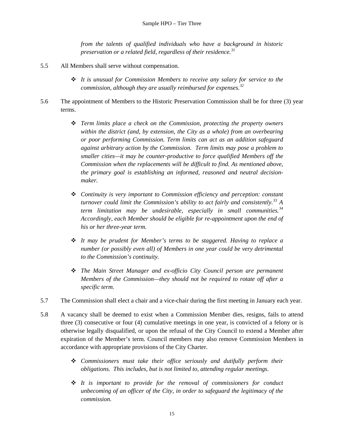*from the talents of qualified individuals who have a background in historic preservation or a related field, regardless of their residence.[31](#page-48-1)*

- 5.5 All Members shall serve without compensation.
	- *It is unusual for Commission Members to receive any salary for service to the commission, although they are usually reimbursed for expenses. [32](#page-48-2)*
- 5.6 The appointment of Members to the Historic Preservation Commission shall be for three (3) year terms.
	- *Term limits place a check on the Commission, protecting the property owners within the district (and, by extension, the City as a whole) from an overbearing or poor performing Commission. Term limits can act as an addition safeguard against arbitrary action by the Commission. Term limits may pose a problem to smaller cities—it may be counter-productive to force qualified Members off the Commission when the replacements will be difficult to find. As mentioned above, the primary goal is establishing an informed, reasoned and neutral decisionmaker.*
	- *Continuity is very important to Commission efficiency and perception: constant turnover could limit the Commission's ability to act fairly and consistently.[33](#page-48-3) A term limitation may be undesirable, especially in small communities.[34](#page-48-4) Accordingly, each Member should be eligible for re-appointment upon the end of his or her three-year term.*
	- *It may be prudent for Member's terms to be staggered. Having to replace a number (or possibly even all) of Members in one year could be very detrimental to the Commission's continuity.*
	- *The Main Street Manager and ex-officio City Council person are permanent Members of the Commission—they should not be required to rotate off after a specific term.*
- 5.7 The Commission shall elect a chair and a vice-chair during the first meeting in January each year.
- 5.8 A vacancy shall be deemed to exist when a Commission Member dies, resigns, fails to attend three (3) consecutive or four (4) cumulative meetings in one year, is convicted of a felony or is otherwise legally disqualified, or upon the refusal of the City Council to extend a Member after expiration of the Member's term. Council members may also remove Commission Members in accordance with appropriate provisions of the City Charter.
	- *Commissioners must take their office seriously and dutifully perform their obligations. This includes, but is not limited to, attending regular meetings.*
	- *It is important to provide for the removal of commissioners for conduct unbecoming of an officer of the City, in order to safeguard the legitimacy of the commission.*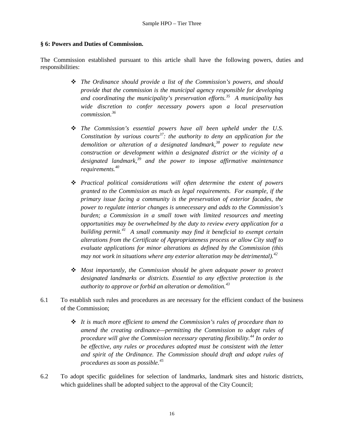#### <span id="page-16-0"></span>**§ 6: Powers and Duties of Commission.**

The Commission established pursuant to this article shall have the following powers, duties and responsibilities:

- *The Ordinance should provide a list of the Commission's powers, and should provide that the commission is the municipal agency responsible for developing and coordinating the municipality's preservation efforts.[35](#page-48-5) A municipality has wide discretion to confer necessary powers upon a local preservation commission.[36](#page-48-6)*
- *The Commission's essential powers have all been upheld under the U.S. Constitution by various courts[37](#page-48-7): the authority to deny an application for the demolition or alteration of a designated landmark,[38](#page-48-8) power to regulate new construction or development within a designated district or the vicinity of a designated landmark,[39](#page-48-9) and the power to impose affirmative maintenance requirements.[40](#page-48-10)*
- *Practical political considerations will often determine the extent of powers granted to the Commission as much as legal requirements. For example, if the primary issue facing a community is the preservation of exterior facades, the power to regulate interior changes is unnecessary and adds to the Commission's burden; a Commission in a small town with limited resources and meeting opportunities may be overwhelmed by the duty to review every application for a building permit.[41](#page-48-11) A small community may find it beneficial to exempt certain alterations from the Certificate of Appropriateness process or allow City staff to evaluate applications for minor alterations as defined by the Commission (this may not work in situations where any exterior alteration may be detrimental).[42](#page-48-12)*
- *Most importantly, the Commission should be given adequate power to protect designated landmarks or districts. Essential to any effective protection is the authority to approve or forbid an alteration or demolition.[43](#page-48-13)*
- 6.1 To establish such rules and procedures as are necessary for the efficient conduct of the business of the Commission;
	- *It is much more efficient to amend the Commission's rules of procedure than to amend the creating ordinance—permitting the Commission to adopt rules of procedure will give the Commission necessary operating flexibility.[44](#page-48-14) In order to be effective, any rules or procedures adopted must be consistent with the letter and spirit of the Ordinance. The Commission should draft and adopt rules of procedures as soon as possible.[45](#page-48-15)*
- 6.2 To adopt specific guidelines for selection of landmarks, landmark sites and historic districts, which guidelines shall be adopted subject to the approval of the City Council;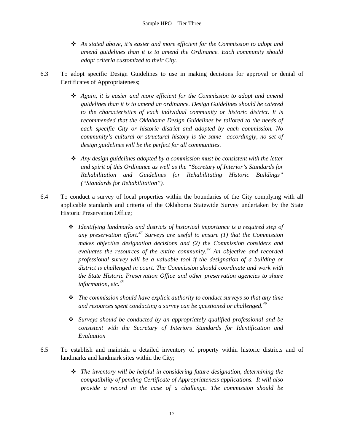- *As stated above, it's easier and more efficient for the Commission to adopt and amend guidelines than it is to amend the Ordinance. Each community should adopt criteria customized to their City.*
- 6.3 To adopt specific Design Guidelines to use in making decisions for approval or denial of Certificates of Appropriateness;
	- *Again, it is easier and more efficient for the Commission to adopt and amend guidelines than it is to amend an ordinance. Design Guidelines should be catered to the characteristics of each individual community or historic district. It is recommended that the Oklahoma Design Guidelines be tailored to the needs of each specific City or historic district and adopted by each commission. No community's cultural or structural history is the same—accordingly, no set of design guidelines will be the perfect for all communities.*
	- *Any design guidelines adopted by a commission must be consistent with the letter and spirit of this Ordinance as well as the "Secretary of Interior's Standards for Rehabilitation and Guidelines for Rehabilitating Historic Buildings" ("Standards for Rehabilitation").*
- 6.4 To conduct a survey of local properties within the boundaries of the City complying with all applicable standards and criteria of the Oklahoma Statewide Survey undertaken by the State Historic Preservation Office;
	- *Identifying landmarks and districts of historical importance is a required step of any preservation effort.[46](#page-48-16) Surveys are useful to ensure (1) that the Commission makes objective designation decisions and (2) the Commission considers and evaluates the resources of the entire community.[47](#page-48-17) An objective and recorded professional survey will be a valuable tool if the designation of a building or district is challenged in court. The Commission should coordinate and work with the State Historic Preservation Office and other preservation agencies to share information, etc. [48](#page-48-18)*
	- *The commission should have explicit authority to conduct surveys so that any time and resources spent conducting a survey can be questioned or challenged.[49](#page-48-19)*
	- *Surveys should be conducted by an appropriately qualified professional and be consistent with the Secretary of Interiors Standards for Identification and Evaluation*
- 6.5 To establish and maintain a detailed inventory of property within historic districts and of landmarks and landmark sites within the City;
	- *The inventory will be helpful in considering future designation, determining the compatibility of pending Certificate of Appropriateness applications. It will also provide a record in the case of a challenge. The commission should be*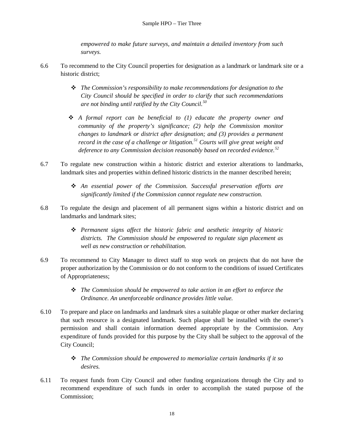*empowered to make future surveys, and maintain a detailed inventory from such surveys.* 

- 6.6 To recommend to the City Council properties for designation as a landmark or landmark site or a historic district;
	- *The Commission's responsibility to make recommendations for designation to the City Council should be specified in order to clarify that such recommendations are not binding until ratified by the City Council.[50](#page-48-20)*
	- *A formal report can be beneficial to (1) educate the property owner and community of the property's significance; (2) help the Commission monitor changes to landmark or district after designation; and (3) provides a permanent record in the case of a challenge or litigation.[51](#page-49-0) Courts will give great weight and deference to any Commission decision reasonably based on recorded evidence.[52](#page-49-1)*
- 6.7 To regulate new construction within a historic district and exterior alterations to landmarks, landmark sites and properties within defined historic districts in the manner described herein;
	- *An essential power of the Commission. Successful preservation efforts are significantly limited if the Commission cannot regulate new construction.*
- 6.8 To regulate the design and placement of all permanent signs within a historic district and on landmarks and landmark sites;
	- *Permanent signs affect the historic fabric and aesthetic integrity of historic districts. The Commission should be empowered to regulate sign placement as well as new construction or rehabilitation.*
- 6.9 To recommend to City Manager to direct staff to stop work on projects that do not have the proper authorization by the Commission or do not conform to the conditions of issued Certificates of Appropriateness;
	- *The Commission should be empowered to take action in an effort to enforce the Ordinance. An unenforceable ordinance provides little value.*
- 6.10 To prepare and place on landmarks and landmark sites a suitable plaque or other marker declaring that such resource is a designated landmark. Such plaque shall be installed with the owner's permission and shall contain information deemed appropriate by the Commission. Any expenditure of funds provided for this purpose by the City shall be subject to the approval of the City Council;
	- *The Commission should be empowered to memorialize certain landmarks if it so desires.*
- 6.11 To request funds from City Council and other funding organizations through the City and to recommend expenditure of such funds in order to accomplish the stated purpose of the Commission;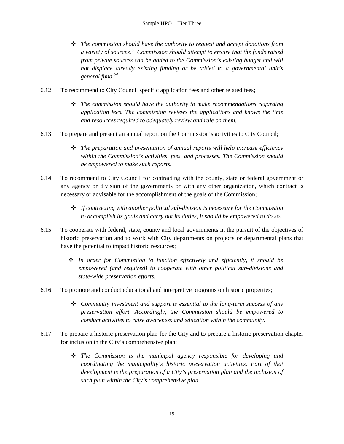- *The commission should have the authority to request and accept donations from a variety of sources. [53](#page-49-2) Commission should attempt to ensure that the funds raised from private sources can be added to the Commission's existing budget and will not displace already existing funding or be added to a governmental unit's general fund.[54](#page-49-3)*
- 6.12 To recommend to City Council specific application fees and other related fees;
	- *The commission should have the authority to make recommendations regarding application fees. The commission reviews the applications and knows the time and resources required to adequately review and rule on them.*
- 6.13 To prepare and present an annual report on the Commission's activities to City Council;
	- *The preparation and presentation of annual reports will help increase efficiency within the Commission's activities, fees, and processes. The Commission should be empowered to make such reports.*
- 6.14 To recommend to City Council for contracting with the county, state or federal government or any agency or division of the governments or with any other organization, which contract is necessary or advisable for the accomplishment of the goals of the Commission;
	- *If contracting with another political sub-division is necessary for the Commission to accomplish its goals and carry out its duties, it should be empowered to do so.*
- 6.15 To cooperate with federal, state, county and local governments in the pursuit of the objectives of historic preservation and to work with City departments on projects or departmental plans that have the potential to impact historic resources;
	- *In order for Commission to function effectively and efficiently, it should be empowered (and required) to cooperate with other political sub-divisions and state-wide preservation efforts.*
- 6.16 To promote and conduct educational and interpretive programs on historic properties;
	- *Community investment and support is essential to the long-term success of any preservation effort. Accordingly, the Commission should be empowered to conduct activities to raise awareness and education within the community.*
- 6.17 To prepare a historic preservation plan for the City and to prepare a historic preservation chapter for inclusion in the City's comprehensive plan;
	- *The Commission is the municipal agency responsible for developing and coordinating the municipality's historic preservation activities. Part of that development is the preparation of a City's preservation plan and the inclusion of such plan within the City's comprehensive plan.*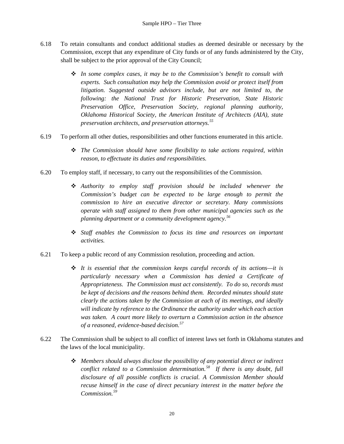- 6.18 To retain consultants and conduct additional studies as deemed desirable or necessary by the Commission, except that any expenditure of City funds or of any funds administered by the City, shall be subject to the prior approval of the City Council;
	- *In some complex cases, it may be to the Commission's benefit to consult with experts. Such consultation may help the Commission avoid or protect itself from litigation. Suggested outside advisors include, but are not limited to, the following: the National Trust for Historic Preservation, State Historic Preservation Office, Preservation Society, regional planning authority, Oklahoma Historical Society, the American Institute of Architects (AIA), state preservation architects, and preservation attorneys. [55](#page-49-4)*
- 6.19 To perform all other duties, responsibilities and other functions enumerated in this article.
	- *The Commission should have some flexibility to take actions required, within reason, to effectuate its duties and responsibilities.*
- 6.20 To employ staff, if necessary, to carry out the responsibilities of the Commission.
	- *Authority to employ staff provision should be included whenever the Commission's budget can be expected to be large enough to permit the commission to hire an executive director or secretary. Many commissions operate with staff assigned to them from other municipal agencies such as the planning department or a community development agency.[56](#page-49-5)*
	- *Staff enables the Commission to focus its time and resources on important activities.*
- 6.21 To keep a public record of any Commission resolution, proceeding and action.
	- *It is essential that the commission keeps careful records of its actions—it is particularly necessary when a Commission has denied a Certificate of Appropriateness. The Commission must act consistently. To do so, records must be kept of decisions and the reasons behind them. Recorded minutes should state clearly the actions taken by the Commission at each of its meetings, and ideally will indicate by reference to the Ordinance the authority under which each action was taken. A court more likely to overturn a Commission action in the absence of a reasoned, evidence-based decision.[57](#page-49-6)*
- 6.22 The Commission shall be subject to all conflict of interest laws set forth in Oklahoma statutes and the laws of the local municipality.
	- *Members should always disclose the possibility of any potential direct or indirect conflict related to a Commission determination.[58](#page-49-7) If there is any doubt, full disclosure of all possible conflicts is crucial. A Commission Member should recuse himself in the case of direct pecuniary interest in the matter before the Commission.[59](#page-49-8)*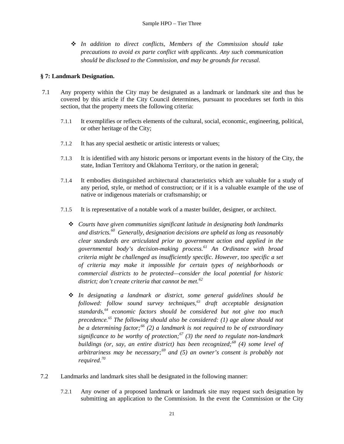*In addition to direct conflicts, Members of the Commission should take precautions to avoid ex parte conflict with applicants. Any such communication should be disclosed to the Commission, and may be grounds for recusal.* 

#### <span id="page-21-0"></span>**§ 7: Landmark Designation.**

- 7.1 Any property within the City may be designated as a landmark or landmark site and thus be covered by this article if the City Council determines, pursuant to procedures set forth in this section, that the property meets the following criteria:
	- 7.1.1 It exemplifies or reflects elements of the cultural, social, economic, engineering, political, or other heritage of the City;
	- 7.1.2 It has any special aesthetic or artistic interests or values;
	- 7.1.3 It is identified with any historic persons or important events in the history of the City, the state, Indian Territory and Oklahoma Territory, or the nation in general;
	- 7.1.4 It embodies distinguished architectural characteristics which are valuable for a study of any period, style, or method of construction; or if it is a valuable example of the use of native or indigenous materials or craftsmanship; or
	- 7.1.5 It is representative of a notable work of a master builder, designer, or architect.
		- *Courts have given communities significant latitude in designating both landmarks and districts.[60](#page-49-9) Generally, designation decisions are upheld as long as reasonably clear standards are articulated prior to government action and applied in the governmental body's decision-making process.[61](#page-49-10) An Ordinance with broad criteria might be challenged as insufficiently specific. However, too specific a set of criteria may make it impossible for certain types of neighborhoods or commercial districts to be protected—consider the local potential for historic district; don't create criteria that cannot be met.[62](#page-49-11)*
		- *In designating a landmark or district, some general guidelines should be followed: follow sound survey techniques, [63](#page-49-12) draft acceptable designation standards, [64](#page-49-13) economic factors should be considered but not give too much precedence. [65](#page-49-14) The following should also be considered: (1) age alone should not be a determining factor;[66](#page-49-15) (2) a landmark is not required to be of extraordinary significance to be worthy of protection;[67](#page-50-0) (3) the need to regulate non-landmark buildings (or, say, an entire district) has been recognized;[68](#page-50-1) (4) some level of arbitrariness may be necessary; [69](#page-50-2) and (5) an owner's consent is probably not required.[70](#page-50-3)*
- 7.2 Landmarks and landmark sites shall be designated in the following manner:
	- 7.2.1 Any owner of a proposed landmark or landmark site may request such designation by submitting an application to the Commission. In the event the Commission or the City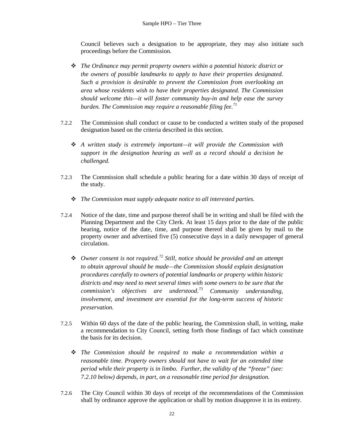Council believes such a designation to be appropriate, they may also initiate such proceedings before the Commission.

- *The Ordinance may permit property owners within a potential historic district or the owners of possible landmarks to apply to have their properties designated. Such a provision is desirable to prevent the Commission from overlooking an area whose residents wish to have their properties designated. The Commission should welcome this—it will foster community buy-in and help ease the survey burden. The Commission may require a reasonable filing fee.[71](#page-50-4)*
- 7.2.2 The Commission shall conduct or cause to be conducted a written study of the proposed designation based on the criteria described in this section.
	- *A written study is extremely important—it will provide the Commission with support in the designation hearing as well as a record should a decision be challenged.*
- 7.2.3 The Commission shall schedule a public hearing for a date within 30 days of receipt of the study.
	- *The Commission must supply adequate notice to all interested parties.*
- 7.2.4 Notice of the date, time and purpose thereof shall be in writing and shall be filed with the Planning Department and the City Clerk. At least 15 days prior to the date of the public hearing, notice of the date, time, and purpose thereof shall be given by mail to the property owner and advertised five (5) consecutive days in a daily newspaper of general circulation.
	- *Owner consent is not required. [72](#page-50-5) Still, notice should be provided and an attempt to obtain approval should be made—the Commission should explain designation procedures carefully to owners of potential landmarks or property within historic districts and may need to meet several times with some owners to be sure that the commission's objectives are understood.[73](#page-50-6) Community understanding, involvement, and investment are essential for the long-term success of historic preservation.*
- 7.2.5 Within 60 days of the date of the public hearing, the Commission shall, in writing, make a recommendation to City Council, setting forth those findings of fact which constitute the basis for its decision.
	- *The Commission should be required to make a recommendation within a reasonable time. Property owners should not have to wait for an extended time period while their property is in limbo. Further, the validity of the "freeze" (see: 7.2.10 below) depends, in part, on a reasonable time period for designation.*
- 7.2.6 The City Council within 30 days of receipt of the recommendations of the Commission shall by ordinance approve the application or shall by motion disapprove it in its entirety.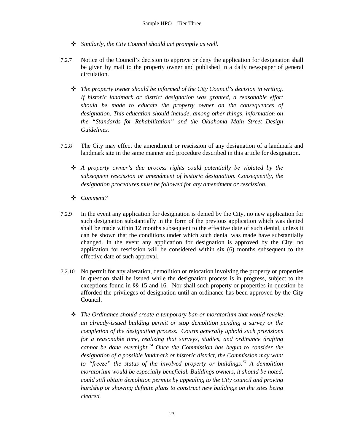- *Similarly, the City Council should act promptly as well.*
- 7.2.7 Notice of the Council's decision to approve or deny the application for designation shall be given by mail to the property owner and published in a daily newspaper of general circulation.
	- *The property owner should be informed of the City Council's decision in writing. If historic landmark or district designation was granted, a reasonable effort should be made to educate the property owner on the consequences of designation. This education should include, among other things, information on the "Standards for Rehabilitation" and the Oklahoma Main Street Design Guidelines.*
- 7.2.8 The City may effect the amendment or rescission of any designation of a landmark and landmark site in the same manner and procedure described in this article for designation.
	- *A property owner's due process rights could potentially be violated by the subsequent rescission or amendment of historic designation. Consequently, the designation procedures must be followed for any amendment or rescission.*
	- *Comment?*
- 7.2.9 In the event any application for designation is denied by the City, no new application for such designation substantially in the form of the previous application which was denied shall be made within 12 months subsequent to the effective date of such denial, unless it can be shown that the conditions under which such denial was made have substantially changed. In the event any application for designation is approved by the City, no application for rescission will be considered within six (6) months subsequent to the effective date of such approval.
- 7.2.10 No permit for any alteration, demolition or relocation involving the property or properties in question shall be issued while the designation process is in progress, subject to the exceptions found in §§ 15 and 16. Nor shall such property or properties in question be afforded the privileges of designation until an ordinance has been approved by the City Council.
	- *The Ordinance should create a temporary ban or moratorium that would revoke an already-issued building permit or stop demolition pending a survey or the completion of the designation process. Courts generally uphold such provisions for a reasonable time, realizing that surveys, studies, and ordinance drafting cannot be done overnight.[74](#page-50-7) Once the Commission has begun to consider the designation of a possible landmark or historic district, the Commission may want to "freeze" the status of the involved property or buildings.[75](#page-50-8) A demolition moratorium would be especially beneficial. Buildings owners, it should be noted, could still obtain demolition permits by appealing to the City council and proving hardship or showing definite plans to construct new buildings on the sites being cleared.*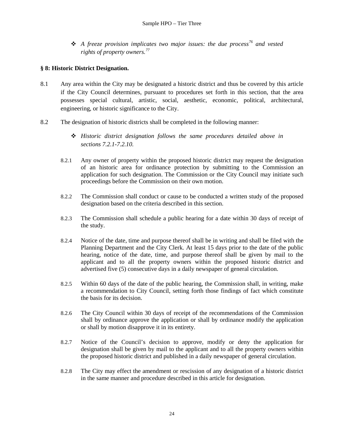*A freeze provision implicates two major issues: the due process[76](#page-50-9) and vested rights of property owners.[77](#page-50-10)*

#### <span id="page-24-0"></span>**§ 8: Historic District Designation.**

- 8.1 Any area within the City may be designated a historic district and thus be covered by this article if the City Council determines, pursuant to procedures set forth in this section, that the area possesses special cultural, artistic, social, aesthetic, economic, political, architectural, engineering, or historic significance to the City.
- 8.2 The designation of historic districts shall be completed in the following manner:
	- *Historic district designation follows the same procedures detailed above in sections 7.2.1-7.2.10.*
	- 8.2.1 Any owner of property within the proposed historic district may request the designation of an historic area for ordinance protection by submitting to the Commission an application for such designation. The Commission or the City Council may initiate such proceedings before the Commission on their own motion.
	- 8.2.2 The Commission shall conduct or cause to be conducted a written study of the proposed designation based on the criteria described in this section.
	- 8.2.3 The Commission shall schedule a public hearing for a date within 30 days of receipt of the study.
	- 8.2.4 Notice of the date, time and purpose thereof shall be in writing and shall be filed with the Planning Department and the City Clerk. At least 15 days prior to the date of the public hearing, notice of the date, time, and purpose thereof shall be given by mail to the applicant and to all the property owners within the proposed historic district and advertised five (5) consecutive days in a daily newspaper of general circulation.
	- 8.2.5 Within 60 days of the date of the public hearing, the Commission shall, in writing, make a recommendation to City Council, setting forth those findings of fact which constitute the basis for its decision.
	- 8.2.6 The City Council within 30 days of receipt of the recommendations of the Commission shall by ordinance approve the application or shall by ordinance modify the application or shall by motion disapprove it in its entirety.
	- 8.2.7 Notice of the Council's decision to approve, modify or deny the application for designation shall be given by mail to the applicant and to all the property owners within the proposed historic district and published in a daily newspaper of general circulation.
	- 8.2.8 The City may effect the amendment or rescission of any designation of a historic district in the same manner and procedure described in this article for designation.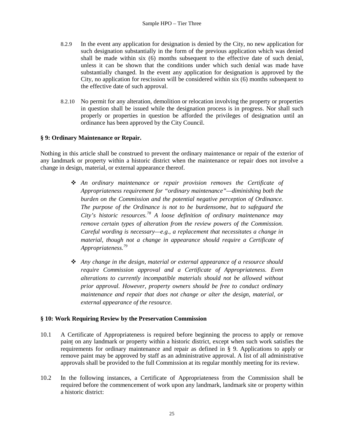- 8.2.9 In the event any application for designation is denied by the City, no new application for such designation substantially in the form of the previous application which was denied shall be made within six (6) months subsequent to the effective date of such denial, unless it can be shown that the conditions under which such denial was made have substantially changed. In the event any application for designation is approved by the City, no application for rescission will be considered within six (6) months subsequent to the effective date of such approval.
- 8.2.10 No permit for any alteration, demolition or relocation involving the property or properties in question shall be issued while the designation process is in progress. Nor shall such properly or properties in question be afforded the privileges of designation until an ordinance has been approved by the City Council.

#### <span id="page-25-0"></span>**§ 9: Ordinary Maintenance or Repair.**

Nothing in this article shall be construed to prevent the ordinary maintenance or repair of the exterior of any landmark or property within a historic district when the maintenance or repair does not involve a change in design, material, or external appearance thereof.

- *An ordinary maintenance or repair provision removes the Certificate of Appropriateness requirement for "ordinary maintenance"—diminishing both the burden on the Commission and the potential negative perception of Ordinance. The purpose of the Ordinance is not to be burdensome, but to safeguard the City's historic resources.[78](#page-50-11) A loose definition of ordinary maintenance may remove certain types of alteration from the review powers of the Commission. Careful wording is necessary—e.g., a replacement that necessitates a change in material, though not a change in appearance should require a Certificate of Appropriateness. [79](#page-51-0)*
- *Any change in the design, material or external appearance of a resource should require Commission approval and a Certificate of Appropriateness. Even alterations to currently incompatible materials should not be allowed without prior approval. However, property owners should be free to conduct ordinary maintenance and repair that does not change or alter the design, material, or external appearance of the resource.*

#### <span id="page-25-1"></span>**§ 10: Work Requiring Review by the Preservation Commission**

- 10.1 A Certificate of Appropriateness is required before beginning the process to apply or remove paint on any landmark or property within a historic district, except when such work satisfies the requirements for ordinary maintenance and repair as defined in § 9. Applications to apply or remove paint may be approved by staff as an administrative approval. A list of all administrative approvals shall be provided to the full Commission at its regular monthly meeting for its review.
- 10.2 In the following instances, a Certificate of Appropriateness from the Commission shall be required before the commencement of work upon any landmark, landmark site or property within a historic district: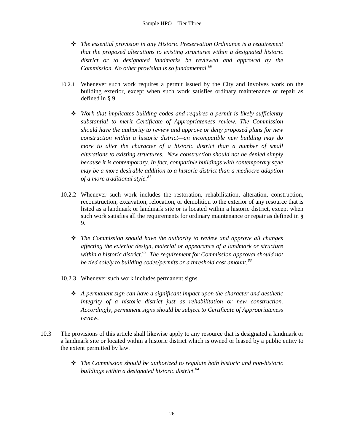- *The essential provision in any Historic Preservation Ordinance is a requirement that the proposed alterations to existing structures within a designated historic district or to designated landmarks be reviewed and approved by the Commission. No other provision is so fundamental. [80](#page-51-1)*
- 10.2.1 Whenever such work requires a permit issued by the City and involves work on the building exterior, except when such work satisfies ordinary maintenance or repair as defined in § 9.
	- *Work that implicates building codes and requires a permit is likely sufficiently substantial to merit Certificate of Appropriateness review. The Commission should have the authority to review and approve or deny proposed plans for new construction within a historic district—an incompatible new building may do more to alter the character of a historic district than a number of small alterations to existing structures. New construction should not be denied simply because it is contemporary. In fact, compatible buildings with contemporary style may be a more desirable addition to a historic district than a mediocre adaption of a more traditional style.[81](#page-51-2)*
- 10.2.2 Whenever such work includes the restoration, rehabilitation, alteration, construction, reconstruction, excavation, relocation, or demolition to the exterior of any resource that is listed as a landmark or landmark site or is located within a historic district, except when such work satisfies all the requirements for ordinary maintenance or repair as defined in § 9.
	- *The Commission should have the authority to review and approve all changes affecting the exterior design, material or appearance of a landmark or structure within a historic district.[82](#page-51-3) The requirement for Commission approval should not be tied solely to building codes/permits or a threshold cost amount.[83](#page-51-4)*
- 10.2.3 Whenever such work includes permanent signs.
	- *A permanent sign can have a significant impact upon the character and aesthetic integrity of a historic district just as rehabilitation or new construction. Accordingly, permanent signs should be subject to Certificate of Appropriateness review.*
- 10.3 The provisions of this article shall likewise apply to any resource that is designated a landmark or a landmark site or located within a historic district which is owned or leased by a public entity to the extent permitted by law.
	- *The Commission should be authorized to regulate both historic and non-historic buildings within a designated historic district.[84](#page-51-5)*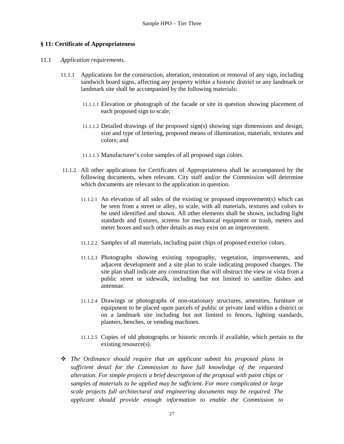#### <span id="page-27-0"></span>**§ 11: Certificate of Appropriateness**

#### 11.1 *Application requirements.*

- 11.1.1 Applications for the construction, alteration, restoration or removal of any sign, including sandwich board signs, affecting any property within a historic district or any landmark or landmark site shall be accompanied by the following materials:
	- 11.1.1.1 Elevation or photograph of the facade or site in question showing placement of each proposed sign to scale;
	- 11.1.1.2 Detailed drawings of the proposed sign(s) showing sign dimensions and design, size and type of lettering, proposed means of illumination, materials, textures and colors; and
	- 11.1.1.3 Manufacturer's color samples of all proposed sign colors.
- 11.1.2 All other applications for Certificates of Appropriateness shall be accompanied by the following documents, when relevant. City staff and/or the Commission will determine which documents are relevant to the application in question.
	- 11.1.2.1 An elevation of all sides of the existing or proposed improvement(s) which can be seen from a street or alley, to scale, with all materials, textures and colors to be used identified and shown. All other elements shall be shown, including light standards and fixtures, screens for mechanical equipment or trash, meters and meter boxes and such other details as may exist on an improvement.
	- 11.1.2.2 Samples of all materials, including paint chips of proposed exterior colors.
	- 11.1.2.3 Photographs showing existing topography, vegetation, improvements, and adjacent development and a site plan to scale indicating proposed changes. The site plan shall indicate any construction that will obstruct the view or vista from a public street or sidewalk, including but not limited to satellite dishes and antennae.
	- 11.1.2.4 Drawings or photographs of non-stationary structures, amenities, furniture or equipment to be placed upon parcels of public or private land within a district or on a landmark site including but not limited to fences, lighting standards, planters, benches, or vending machines.
	- 11.1.2.5 Copies of old photographs or historic records if available, which pertain to the existing resource(s).
- *The Ordinance should require that an applicant submit his proposed plans in sufficient detail for the Commission to have full knowledge of the requested alteration. For simple projects a brief description of the proposal with paint chips or samples of materials to be applied may be sufficient. For more complicated or large scale projects full architectural and engineering documents may be required. The applicant should provide enough information to enable the Commission to*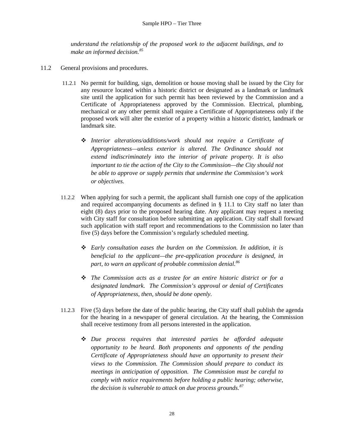*understand the relationship of the proposed work to the adjacent buildings, and to make an informed decision.[85](#page-51-6)*

- 11.2 General provisions and procedures.
	- 11.2.1 No permit for building, sign, demolition or house moving shall be issued by the City for any resource located within a historic district or designated as a landmark or landmark site until the application for such permit has been reviewed by the Commission and a Certificate of Appropriateness approved by the Commission. Electrical, plumbing, mechanical or any other permit shall require a Certificate of Appropriateness only if the proposed work will alter the exterior of a property within a historic district, landmark or landmark site.
		- *Interior alterations/additions/work should not require a Certificate of Appropriateness—unless exterior is altered. The Ordinance should not extend indiscriminately into the interior of private property. It is also important to tie the action of the City to the Commission—the City should not be able to approve or supply permits that undermine the Commission's work or objectives.*
	- 11.2.2 When applying for such a permit, the applicant shall furnish one copy of the application and required accompanying documents as defined in § 11.1 to City staff no later than eight (8) days prior to the proposed hearing date. Any applicant may request a meeting with City staff for consultation before submitting an application. City staff shall forward such application with staff report and recommendations to the Commission no later than five (5) days before the Commission's regularly scheduled meeting.
		- *Early consultation eases the burden on the Commission. In addition, it is beneficial to the applicant—the pre-application procedure is designed, in part, to warn an applicant of probable commission denial.[86](#page-51-7)*
		- *The Commission acts as a trustee for an entire historic district or for a designated landmark. The Commission's approval or denial of Certificates of Appropriateness, then, should be done openly.*
	- 11.2.3 Five (5) days before the date of the public hearing, the City staff shall publish the agenda for the hearing in a newspaper of general circulation. At the hearing, the Commission shall receive testimony from all persons interested in the application.
		- *Due process requires that interested parties be afforded adequate opportunity to be heard. Both proponents and opponents of the pending Certificate of Appropriateness should have an opportunity to present their views to the Commission. The Commission should prepare to conduct its meetings in anticipation of opposition. The Commission must be careful to comply with notice requirements before holding a public hearing; otherwise, the decision is vulnerable to attack on due process grounds.[87](#page-51-8)*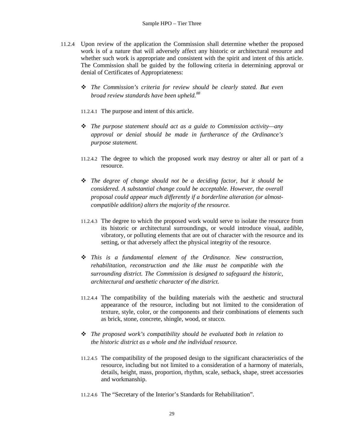- 11.2.4 Upon review of the application the Commission shall determine whether the proposed work is of a nature that will adversely affect any historic or architectural resource and whether such work is appropriate and consistent with the spirit and intent of this article. The Commission shall be guided by the following criteria in determining approval or denial of Certificates of Appropriateness:
	- *The Commission's criteria for review should be clearly stated. But even broad review standards have been upheld.[88](#page-51-9)*
	- 11.2.4.1 The purpose and intent of this article.
	- *The purpose statement should act as a guide to Commission activity—any approval or denial should be made in furtherance of the Ordinance's purpose statement.*
	- 11.2.4.2 The degree to which the proposed work may destroy or alter all or part of a resource.
	- *The degree of change should not be a deciding factor, but it should be considered. A substantial change could be acceptable. However, the overall proposal could appear much differently if a borderline alteration (or almostcompatible addition) alters the majority of the resource.*
	- 11.2.4.3 The degree to which the proposed work would serve to isolate the resource from its historic or architectural surroundings, or would introduce visual, audible, vibratory, or polluting elements that are out of character with the resource and its setting, or that adversely affect the physical integrity of the resource.
	- *This is a fundamental element of the Ordinance. New construction, rehabilitation, reconstruction and the like must be compatible with the surrounding district. The Commission is designed to safeguard the historic, architectural and aesthetic character of the district.*
	- 11.2.4.4 The compatibility of the building materials with the aesthetic and structural appearance of the resource, including but not limited to the consideration of texture, style, color, or the components and their combinations of elements such as brick, stone, concrete, shingle, wood, or stucco.
	- *The proposed work's compatibility should be evaluated both in relation to the historic district as a whole and the individual resource.*
	- 11.2.4.5 The compatibility of the proposed design to the significant characteristics of the resource, including but not limited to a consideration of a harmony of materials, details, height, mass, proportion, rhythm, scale, setback, shape, street accessories and workmanship.
	- 11.2.4.6 The "Secretary of the Interior's Standards for Rehabilitation".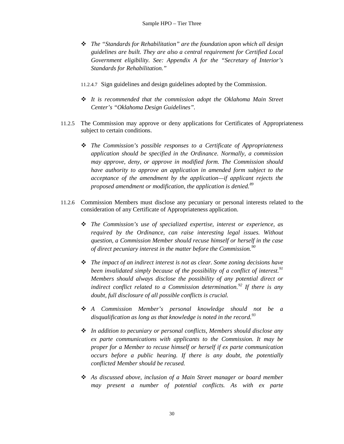- *The "Standards for Rehabilitation" are the foundation upon which all design guidelines are built. They are also a central requirement for Certified Local Government eligibility. See: Appendix A for the "Secretary of Interior's Standards for Rehabilitation."*
- 11.2.4.7 Sign guidelines and design guidelines adopted by the Commission.
- *It is recommended that the commission adopt the Oklahoma Main Street Center's "Oklahoma Design Guidelines".*
- 11.2.5 The Commission may approve or deny applications for Certificates of Appropriateness subject to certain conditions.
	- *The Commission's possible responses to a Certificate of Appropriateness application should be specified in the Ordinance. Normally, a commission may approve, deny, or approve in modified form. The Commission should have authority to approve an application in amended form subject to the acceptance of the amendment by the application—if applicant rejects the proposed amendment or modification, the application is denied.[89](#page-51-10)*
- 11.2.6 Commission Members must disclose any pecuniary or personal interests related to the consideration of any Certificate of Appropriateness application.
	- *The Commission's use of specialized expertise, interest or experience, as required by the Ordinance, can raise interesting legal issues. Without question, a Commission Member should recuse himself or herself in the case of direct pecuniary interest in the matter before the Commission.[90](#page-51-11)*
	- *The impact of an indirect interest is not as clear. Some zoning decisions have been invalidated simply because of the possibility of a conflict of interest.[91](#page-51-12) Members should always disclose the possibility of any potential direct or indirect conflict related to a Commission determination.[92](#page-51-13) If there is any doubt, full disclosure of all possible conflicts is crucial.*
	- *A Commission Member's personal knowledge should not be a disqualification as long as that knowledge is noted in the record.[93](#page-51-14)*
	- *In addition to pecuniary or personal conflicts, Members should disclose any ex parte communications with applicants to the Commission. It may be proper for a Member to recuse himself or herself if ex parte communication occurs before a public hearing. If there is any doubt, the potentially conflicted Member should be recused.*
	- *As discussed above, inclusion of a Main Street manager or board member may present a number of potential conflicts. As with ex parte*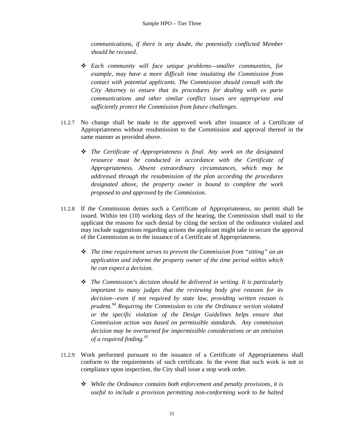*communications, if there is any doubt, the potentially conflicted Member should be recused.*

- *Each community will face unique problems—smaller communities, for example, may have a more difficult time insulating the Commission from contact with potential applicants. The Commission should consult with the City Attorney to ensure that its procedures for dealing with ex parte communications and other similar conflict issues are appropriate and sufficiently protect the Commission from future challenges.*
- 11.2.7 No change shall be made to the approved work after issuance of a Certificate of Appropriateness without resubmission to the Commission and approval thereof in the same manner as provided above.
	- *The Certificate of Appropriateness is final. Any work on the designated resource must be conducted in accordance with the Certificate of Appropriateness. Absent extraordinary circumstances, which may be addressed through the resubmission of the plan according the procedures designated above, the property owner is bound to complete the work proposed to and approved by the Commission.*
- 11.2.8 If the Commission denies such a Certificate of Appropriateness, no permit shall be issued. Within ten (10) working days of the hearing, the Commission shall mail to the applicant the reasons for such denial by citing the section of the ordinance violated and may include suggestions regarding actions the applicant might take to secure the approval of the Commission as to the issuance of a Certificate of Appropriateness.
	- *The time requirement serves to prevent the Commission from "sitting" on an application and informs the property owner of the time period within which he can expect a decision.*
	- *The Commission's decision should be delivered in writing. It is particularly important to many judges that the reviewing body give reasons for its decision—even if not required by state law, providing written reason is prudent.[94](#page-51-15) Requiring the Commission to cite the Ordinance section violated or the specific violation of the Design Guidelines helps ensure that Commission action was based on permissible standards. Any commission decision may be overturned for impermissible considerations or an omission of a required finding.[95](#page-51-16)*
- 11.2.9 Work performed pursuant to the issuance of a Certificate of Appropriateness shall conform to the requirements of such certificate. In the event that such work is not in compliance upon inspection, the City shall issue a stop work order.
	- *While the Ordinance contains both enforcement and penalty provisions, it is useful to include a provision permitting non-conforming work to be halted*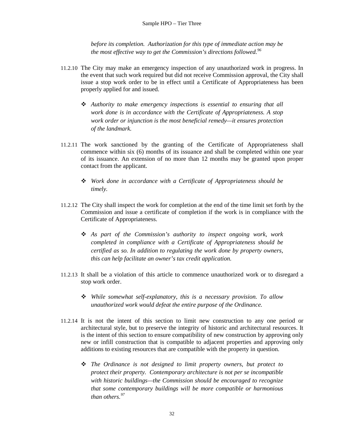*before its completion. Authorization for this type of immediate action may be the most effective way to get the Commission's directions followed.[96](#page-52-0)* 

- 11.2.10 The City may make an emergency inspection of any unauthorized work in progress. In the event that such work required but did not receive Commission approval, the City shall issue a stop work order to be in effect until a Certificate of Appropriateness has been properly applied for and issued.
	- *Authority to make emergency inspections is essential to ensuring that all work done is in accordance with the Certificate of Appropriateness. A stop work order or injunction is the most beneficial remedy—it ensures protection of the landmark.*
- 11.2.11 The work sanctioned by the granting of the Certificate of Appropriateness shall commence within six (6) months of its issuance and shall be completed within one year of its issuance. An extension of no more than 12 months may be granted upon proper contact from the applicant.
	- *Work done in accordance with a Certificate of Appropriateness should be timely.*
- 11.2.12 The City shall inspect the work for completion at the end of the time limit set forth by the Commission and issue a certificate of completion if the work is in compliance with the Certificate of Appropriateness.
	- *As part of the Commission's authority to inspect ongoing work, work completed in compliance with a Certificate of Appropriateness should be certified as so. In addition to regulating the work done by property owners, this can help facilitate an owner's tax credit application.*
- 11.2.13 It shall be a violation of this article to commence unauthorized work or to disregard a stop work order.
	- *While somewhat self-explanatory, this is a necessary provision. To allow unauthorized work would defeat the entire purpose of the Ordinance.*
- 11.2.14 It is not the intent of this section to limit new construction to any one period or architectural style, but to preserve the integrity of historic and architectural resources. It is the intent of this section to ensure compatibility of new construction by approving only new or infill construction that is compatible to adjacent properties and approving only additions to existing resources that are compatible with the property in question.
	- *The Ordinance is not designed to limit property owners, but protect to protect their property. Contemporary architecture is not per se incompatible with historic buildings—the Commission should be encouraged to recognize that some contemporary buildings will be more compatible or harmonious than others. [97](#page-52-1)*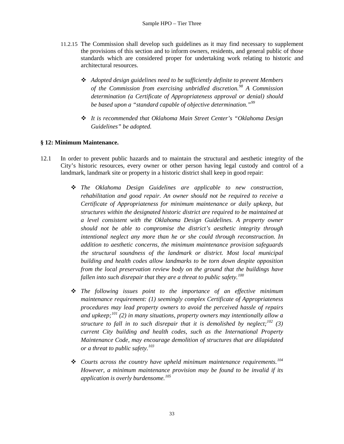- 11.2.15 The Commission shall develop such guidelines as it may find necessary to supplement the provisions of this section and to inform owners, residents, and general public of those standards which are considered proper for undertaking work relating to historic and architectural resources.
	- *Adopted design guidelines need to be sufficiently definite to prevent Members of the Commission from exercising unbridled discretion.[98](#page-52-2) A Commission determination (a Certificate of Appropriateness approval or denial) should be based upon a "standard capable of objective determination."[99](#page-52-3)*
	- *It is recommended that Oklahoma Main Street Center's "Oklahoma Design Guidelines" be adopted.*

#### <span id="page-33-0"></span>**§ 12: Minimum Maintenance.**

- 12.1 In order to prevent public hazards and to maintain the structural and aesthetic integrity of the City's historic resources, every owner or other person having legal custody and control of a landmark, landmark site or property in a historic district shall keep in good repair:
	- *The Oklahoma Design Guidelines are applicable to new construction, rehabilitation and good repair. An owner should not be required to receive a Certificate of Appropriateness for minimum maintenance or daily upkeep, but structures within the designated historic district are required to be maintained at a level consistent with the Oklahoma Design Guidelines. A property owner should not be able to compromise the district's aesthetic integrity through intentional neglect any more than he or she could through reconstruction. In addition to aesthetic concerns, the minimum maintenance provision safeguards the structural soundness of the landmark or district. Most local municipal building and health codes allow landmarks to be torn down despite opposition from the local preservation review body on the ground that the buildings have fallen into such disrepair that they are a threat to public safety.[100](#page-52-4)*
	- *The following issues point to the importance of an effective minimum maintenance requirement: (1) seemingly complex Certificate of Appropriateness procedures may lead property owners to avoid the perceived hassle of repairs and upkeep; [101](#page-52-5) (2) in many situations, property owners may intentionally allow a structure to fall in to such disrepair that it is demolished by neglect;[102](#page-52-6) (3) current City building and health codes, such as the International Property Maintenance Code, may encourage demolition of structures that are dilapidated or a threat to public safety.[103](#page-52-7)*
	- *Courts across the country have upheld minimum maintenance requirements.[104](#page-52-8) However, a minimum maintenance provision may be found to be invalid if its application is overly burdensome.[105](#page-52-9)*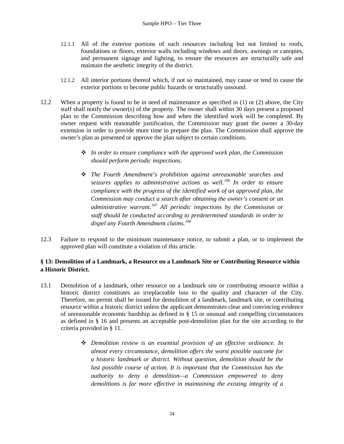- 12.1.1 All of the exterior portions of such resources including but not limited to roofs, foundations or floors, exterior walls including windows and doors, awnings or canopies, and permanent signage and lighting, to ensure the resources are structurally safe and maintain the aesthetic integrity of the district.
- 12.1.2 All interior portions thereof which, if not so maintained, may cause or tend to cause the exterior portions to become public hazards or structurally unsound.
- 12.2 When a property is found to be in need of maintenance as specified in (1) or (2) above, the City staff shall notify the owner(s) of the property. The owner shall within 30 days present a proposed plan to the Commission describing how and when the identified work will be completed. By owner request with reasonable justification, the Commission may grant the owner a 30-day extension in order to provide more time to prepare the plan. The Commission shall approve the owner's plan as presented or approve the plan subject to certain conditions.
	- *In order to ensure compliance with the approved work plan, the Commission should perform periodic inspections.*
	- *The Fourth Amendment's prohibition against unreasonable searches and seizures applies to administrative actions as well.[106](#page-52-10) In order to ensure compliance with the progress of the identified work of an approved plan, the Commission may conduct a search after obtaining the owner's consent or an administrative warrant.[107](#page-52-11) All periodic inspections by the Commission or staff should be conducted according to predetermined standards in order to dispel any Fourth Amendment claims.[108](#page-53-0)*
- 12.3 Failure to respond to the minimum maintenance notice, to submit a plan, or to implement the approved plan will constitute a violation of this article.

#### <span id="page-34-0"></span>**§ 13: Demolition of a Landmark, a Resource on a Landmark Site or Contributing Resource within a Historic District.**

- 13.1 Demolition of a landmark, other resource on a landmark site or contributing resource within a historic district constitutes an irreplaceable loss to the quality and character of the City. Therefore, no permit shall be issued for demolition of a landmark, landmark site, or contributing resource within a historic district unless the applicant demonstrates clear and convincing evidence of unreasonable economic hardship as defined in § 15 or unusual and compelling circumstances as defined in § 16 and presents an acceptable post-demolition plan for the site according to the criteria provided in § 11.
	- *Demolition review is an essential provision of an effective ordinance. In almost every circumstance, demolition offers the worst possible outcome for a historic landmark or district. Without question, demolition should be the last possible course of action. It is important that the Commission has the authority to deny a demolition—a Commission empowered to deny demolitions is far more effective in maintaining the existing integrity of a*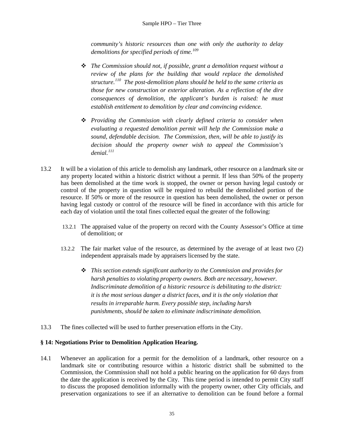*community's historic resources than one with only the authority to delay demolitions for specified periods of time.[109](#page-53-1)*

- *The Commission should not, if possible, grant a demolition request without a review of the plans for the building that would replace the demolished structure.[110](#page-53-2) The post-demolition plans should be held to the same criteria as those for new construction or exterior alteration. As a reflection of the dire consequences of demolition, the applicant's burden is raised: he must establish entitlement to demolition by clear and convincing evidence.*
- *Providing the Commission with clearly defined criteria to consider when evaluating a requested demolition permit will help the Commission make a sound, defendable decision. The Commission, then, will be able to justify its decision should the property owner wish to appeal the Commission's denial.[111](#page-53-3)*
- 13.2 It will be a violation of this article to demolish any landmark, other resource on a landmark site or any property located within a historic district without a permit. If less than 50% of the property has been demolished at the time work is stopped, the owner or person having legal custody or control of the property in question will be required to rebuild the demolished portion of the resource. If 50% or more of the resource in question has been demolished, the owner or person having legal custody or control of the resource will be fined in accordance with this article for each day of violation until the total fines collected equal the greater of the following:
	- 13.2.1 The appraised value of the property on record with the County Assessor's Office at time of demolition; or
	- 13.2.2 The fair market value of the resource, as determined by the average of at least two (2) independent appraisals made by appraisers licensed by the state.
		- *This section extends significant authority to the Commission and provides for harsh penalties to violating property owners. Both are necessary, however. Indiscriminate demolition of a historic resource is debilitating to the district: it is the most serious danger a district faces, and it is the only violation that results in irreparable harm. Every possible step, including harsh punishments, should be taken to eliminate indiscriminate demolition.*
- 13.3 The fines collected will be used to further preservation efforts in the City.

#### <span id="page-35-0"></span>**§ 14: Negotiations Prior to Demolition Application Hearing.**

14.1 Whenever an application for a permit for the demolition of a landmark, other resource on a landmark site or contributing resource within a historic district shall be submitted to the Commission, the Commission shall not hold a public hearing on the application for 60 days from the date the application is received by the City. This time period is intended to permit City staff to discuss the proposed demolition informally with the property owner, other City officials, and preservation organizations to see if an alternative to demolition can be found before a formal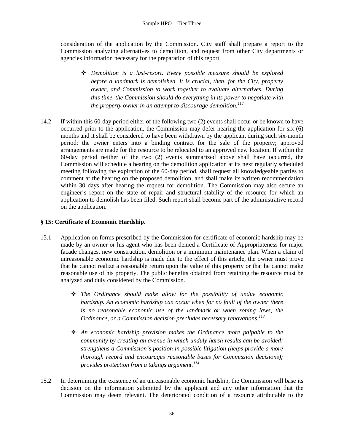consideration of the application by the Commission. City staff shall prepare a report to the Commission analyzing alternatives to demolition, and request from other City departments or agencies information necessary for the preparation of this report.

- *Demolition is a last-resort. Every possible measure should be explored before a landmark is demolished. It is crucial, then, for the City, property owner, and Commission to work together to evaluate alternatives. During this time, the Commission should do everything in its power to negotiate with the property owner in an attempt to discourage demolition.[112](#page-53-4)*
- 14.2 If within this 60-day period either of the following two (2) events shall occur or be known to have occurred prior to the application, the Commission may defer hearing the application for six (6) months and it shall be considered to have been withdrawn by the applicant during such six-month period: the owner enters into a binding contract for the sale of the property; approved arrangements are made for the resource to be relocated to an approved new location. If within the 60-day period neither of the two (2) events summarized above shall have occurred, the Commission will schedule a hearing on the demolition application at its next regularly scheduled meeting following the expiration of the 60-day period, shall request all knowledgeable parties to comment at the hearing on the proposed demolition, and shall make its written recommendation within 30 days after hearing the request for demolition. The Commission may also secure an engineer's report on the state of repair and structural stability of the resource for which an application to demolish has been filed. Such report shall become part of the administrative record on the application.

#### <span id="page-36-0"></span>**§ 15: Certificate of Economic Hardship.**

- 15.1 Application on forms prescribed by the Commission for certificate of economic hardship may be made by an owner or his agent who has been denied a Certificate of Appropriateness for major facade changes, new construction, demolition or a minimum maintenance plan. When a claim of unreasonable economic hardship is made due to the effect of this article, the owner must prove that he cannot realize a reasonable return upon the value of this property or that he cannot make reasonable use of his property. The public benefits obtained from retaining the resource must be analyzed and duly considered by the Commission.
	- *The Ordinance should make allow for the possibility of undue economic hardship. An economic hardship can occur when for no fault of the owner there is no reasonable economic use of the landmark or when zoning laws, the Ordinance, or a Commission decision precludes necessary renovations.[113](#page-53-5)*
	- *An economic hardship provision makes the Ordinance more palpable to the community by creating an avenue in which unduly harsh results can be avoided; strengthens a Commission's position in possible litigation (helps provide a more thorough record and encourages reasonable bases for Commission decisions); provides protection from a takings argument.[114](#page-53-6)*
- 15.2 In determining the existence of an unreasonable economic hardship, the Commission will base its decision on the information submitted by the applicant and any other information that the Commission may deem relevant. The deteriorated condition of a resource attributable to the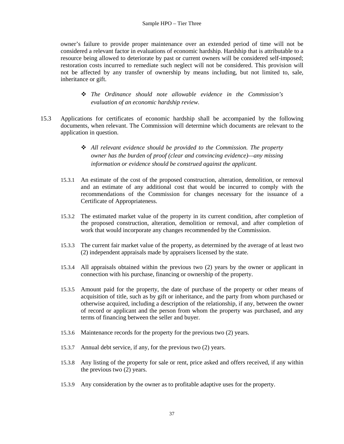owner's failure to provide proper maintenance over an extended period of time will not be considered a relevant factor in evaluations of economic hardship. Hardship that is attributable to a resource being allowed to deteriorate by past or current owners will be considered self-imposed; restoration costs incurred to remediate such neglect will not be considered. This provision will not be affected by any transfer of ownership by means including, but not limited to, sale, inheritance or gift.

- *The Ordinance should note allowable evidence in the Commission's evaluation of an economic hardship review.*
- 15.3 Applications for certificates of economic hardship shall be accompanied by the following documents, when relevant. The Commission will determine which documents are relevant to the application in question.
	- *All relevant evidence should be provided to the Commission. The property owner has the burden of proof (clear and convincing evidence)—any missing information or evidence should be construed against the applicant.*
	- 15.3.1 An estimate of the cost of the proposed construction, alteration, demolition, or removal and an estimate of any additional cost that would be incurred to comply with the recommendations of the Commission for changes necessary for the issuance of a Certificate of Appropriateness.
	- 15.3.2 The estimated market value of the property in its current condition, after completion of the proposed construction, alteration, demolition or removal, and after completion of work that would incorporate any changes recommended by the Commission.
	- 15.3.3 The current fair market value of the property, as determined by the average of at least two (2) independent appraisals made by appraisers licensed by the state.
	- 15.3.4 All appraisals obtained within the previous two (2) years by the owner or applicant in connection with his purchase, financing or ownership of the property.
	- 15.3.5 Amount paid for the property, the date of purchase of the property or other means of acquisition of title, such as by gift or inheritance, and the party from whom purchased or otherwise acquired, including a description of the relationship, if any, between the owner of record or applicant and the person from whom the property was purchased, and any terms of financing between the seller and buyer.
	- 15.3.6 Maintenance records for the property for the previous two (2) years.
	- 15.3.7 Annual debt service, if any, for the previous two (2) years.
	- 15.3.8 Any listing of the property for sale or rent, price asked and offers received, if any within the previous two (2) years.
	- 15.3.9 Any consideration by the owner as to profitable adaptive uses for the property.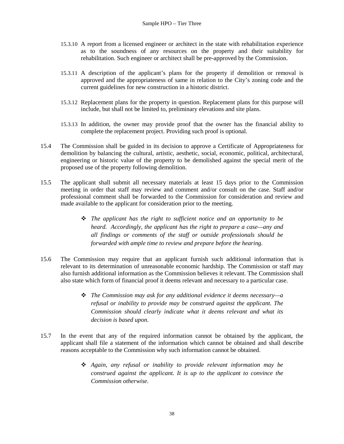- 15.3.10 A report from a licensed engineer or architect in the state with rehabilitation experience as to the soundness of any resources on the property and their suitability for rehabilitation. Such engineer or architect shall be pre-approved by the Commission.
- 15.3.11 A description of the applicant's plans for the property if demolition or removal is approved and the appropriateness of same in relation to the City's zoning code and the current guidelines for new construction in a historic district.
- 15.3.12 Replacement plans for the property in question. Replacement plans for this purpose will include, but shall not be limited to, preliminary elevations and site plans.
- 15.3.13 In addition, the owner may provide proof that the owner has the financial ability to complete the replacement project. Providing such proof is optional.
- 15.4 The Commission shall be guided in its decision to approve a Certificate of Appropriateness for demolition by balancing the cultural, artistic, aesthetic, social, economic, political, architectural, engineering or historic value of the property to be demolished against the special merit of the proposed use of the property following demolition.
- 15.5 The applicant shall submit all necessary materials at least 15 days prior to the Commission meeting in order that staff may review and comment and/or consult on the case. Staff and/or professional comment shall be forwarded to the Commission for consideration and review and made available to the applicant for consideration prior to the meeting.
	- *The applicant has the right to sufficient notice and an opportunity to be heard. Accordingly, the applicant has the right to prepare a case—any and all findings or comments of the staff or outside professionals should be forwarded with ample time to review and prepare before the hearing.*
- 15.6 The Commission may require that an applicant furnish such additional information that is relevant to its determination of unreasonable economic hardship. The Commission or staff may also furnish additional information as the Commission believes it relevant. The Commission shall also state which form of financial proof it deems relevant and necessary to a particular case.
	- *The Commission may ask for any additional evidence it deems necessary—a refusal or inability to provide may be construed against the applicant. The Commission should clearly indicate what it deems relevant and what its decision is based upon.*
- 15.7 In the event that any of the required information cannot be obtained by the applicant, the applicant shall file a statement of the information which cannot be obtained and shall describe reasons acceptable to the Commission why such information cannot be obtained.
	- *Again, any refusal or inability to provide relevant information may be construed against the applicant. It is up to the applicant to convince the Commission otherwise.*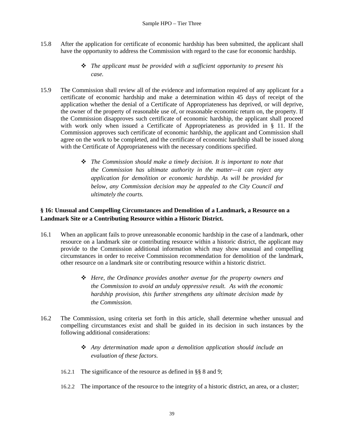- 15.8 After the application for certificate of economic hardship has been submitted, the applicant shall have the opportunity to address the Commission with regard to the case for economic hardship.
	- *The applicant must be provided with a sufficient opportunity to present his case.*
- 15.9 The Commission shall review all of the evidence and information required of any applicant for a certificate of economic hardship and make a determination within 45 days of receipt of the application whether the denial of a Certificate of Appropriateness has deprived, or will deprive, the owner of the property of reasonable use of, or reasonable economic return on, the property. If the Commission disapproves such certificate of economic hardship, the applicant shall proceed with work only when issued a Certificate of Appropriateness as provided in § [11.](http://www.amlegal.com/nxt/gateway.dll?f=id$id=Guthrie,%20OK%20Code%20of%20Ordinances%3Ar%3A624$cid=oklahoma$t=document-frame.htm$an=JD_4-220$3.0#JD_4-220) If the Commission approves such certificate of economic hardship, the applicant and Commission shall agree on the work to be completed, and the certificate of economic hardship shall be issued along with the Certificate of Appropriateness with the necessary conditions specified.
	- *The Commission should make a timely decision. It is important to note that the Commission has ultimate authority in the matter—it can reject any application for demolition or economic hardship. As will be provided for below, any Commission decision may be appealed to the City Council and ultimately the courts.*

#### <span id="page-39-0"></span>**§ 16: Unusual and Compelling Circumstances and Demolition of a Landmark, a Resource on a Landmark Site or a Contributing Resource within a Historic District.**

- 16.1 When an applicant fails to prove unreasonable economic hardship in the case of a landmark, other resource on a landmark site or contributing resource within a historic district, the applicant may provide to the Commission additional information which may show unusual and compelling circumstances in order to receive Commission recommendation for demolition of the landmark, other resource on a landmark site or contributing resource within a historic district.
	- *Here, the Ordinance provides another avenue for the property owners and the Commission to avoid an unduly oppressive result. As with the economic hardship provision, this further strengthens any ultimate decision made by the Commission.*
- 16.2 The Commission, using criteria set forth in this article, shall determine whether unusual and compelling circumstances exist and shall be guided in its decision in such instances by the following additional considerations:
	- *Any determination made upon a demolition application should include an evaluation of these factors.*
	- 16.2.1 The significance of the resource as defined in §§ 8 and 9;
	- 16.2.2 The importance of the resource to the integrity of a historic district, an area, or a cluster;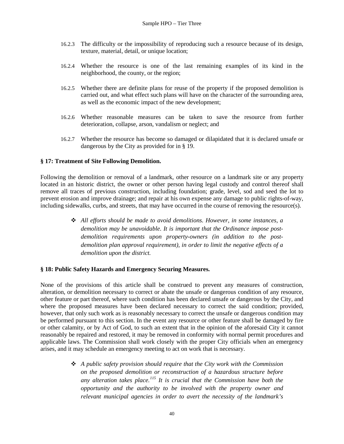- 16.2.3 The difficulty or the impossibility of reproducing such a resource because of its design, texture, material, detail, or unique location;
- 16.2.4 Whether the resource is one of the last remaining examples of its kind in the neighborhood, the county, or the region;
- 16.2.5 Whether there are definite plans for reuse of the property if the proposed demolition is carried out, and what effect such plans will have on the character of the surrounding area, as well as the economic impact of the new development;
- 16.2.6 Whether reasonable measures can be taken to save the resource from further deterioration, collapse, arson, vandalism or neglect; and
- 16.2.7 Whether the resource has become so damaged or dilapidated that it is declared unsafe or dangerous by the City as provided for in § 19.

#### <span id="page-40-0"></span>**§ 17: Treatment of Site Following Demolition.**

Following the demolition or removal of a landmark, other resource on a landmark site or any property located in an historic district, the owner or other person having legal custody and control thereof shall remove all traces of previous construction, including foundation; grade, level, sod and seed the lot to prevent erosion and improve drainage; and repair at his own expense any damage to public rights-of-way, including sidewalks, curbs, and streets, that may have occurred in the course of removing the resource(s).

> *All efforts should be made to avoid demolitions. However, in some instances, a demolition may be unavoidable. It is important that the Ordinance impose postdemolition requirements upon property-owners (in addition to the postdemolition plan approval requirement), in order to limit the negative effects of a demolition upon the district.*

#### <span id="page-40-1"></span>**§ 18: Public Safety Hazards and Emergency Securing Measures.**

None of the provisions of this article shall be construed to prevent any measures of construction, alteration, or demolition necessary to correct or abate the unsafe or dangerous condition of any resource, other feature or part thereof, where such condition has been declared unsafe or dangerous by the City, and where the proposed measures have been declared necessary to correct the said condition; provided, however, that only such work as is reasonably necessary to correct the unsafe or dangerous condition may be performed pursuant to this section. In the event any resource or other feature shall be damaged by fire or other calamity, or by Act of God, to such an extent that in the opinion of the aforesaid City it cannot reasonably be repaired and restored, it may be removed in conformity with normal permit procedures and applicable laws. The Commission shall work closely with the proper City officials when an emergency arises, and it may schedule an emergency meeting to act on work that is necessary.

> *A public safety provision should require that the City work with the Commission on the proposed demolition or reconstruction of a hazardous structure before any alteration takes place. [115](#page-53-7) It is crucial that the Commission have both the opportunity and the authority to be involved with the property owner and relevant municipal agencies in order to avert the necessity of the landmark's*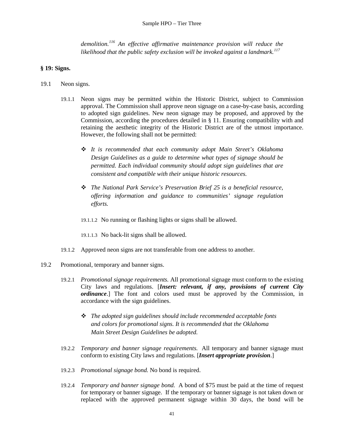*demolition.[116](#page-53-8) An effective affirmative maintenance provision will reduce the likelihood that the public safety exclusion will be invoked against a landmark.[117](#page-53-9)*

#### <span id="page-41-0"></span>**§ 19: Signs.**

- 19.1 Neon signs.
	- 19.1.1 Neon signs may be permitted within the Historic District, subject to Commission approval. The Commission shall approve neon signage on a case-by-case basis, according to adopted sign guidelines. New neon signage may be proposed, and approved by the Commission, according the procedures detailed in § 11. Ensuring compatibility with and retaining the aesthetic integrity of the Historic District are of the utmost importance. However, the following shall not be permitted:
		- *It is recommended that each community adopt Main Street's Oklahoma Design Guidelines as a guide to determine what types of signage should be permitted. Each individual community should adopt sign guidelines that are consistent and compatible with their unique historic resources.*
		- *The National Park Service's Preservation Brief 25 is a beneficial resource, offering information and guidance to communities' signage regulation efforts.*
		- 19.1.1.2 No running or flashing lights or signs shall be allowed.

19.1.1.3 No back-lit signs shall be allowed.

- 19.1.2 Approved neon signs are not transferable from one address to another.
- 19.2 Promotional, temporary and banner signs.
	- 19.2.1 *Promotional signage requirements.* All promotional signage must conform to the existing City laws and regulations. [*Insert: relevant, if any, provisions of current City ordinance*.] The font and colors used must be approved by the Commission, in accordance with the sign guidelines.
		- *The adopted sign guidelines should include recommended acceptable fonts and colors for promotional signs. It is recommended that the Oklahoma Main Street Design Guidelines be adopted.*
	- 19.2.2 *Temporary and banner signage requirements.* All temporary and banner signage must conform to existing City laws and regulations. [*Insert appropriate provision*.]
	- 19.2.3 *Promotional signage bond.* No bond is required.
	- 19.2.4 *Temporary and banner signage bond.* A bond of \$75 must be paid at the time of request for temporary or banner signage. If the temporary or banner signage is not taken down or replaced with the approved permanent signage within 30 days, the bond will be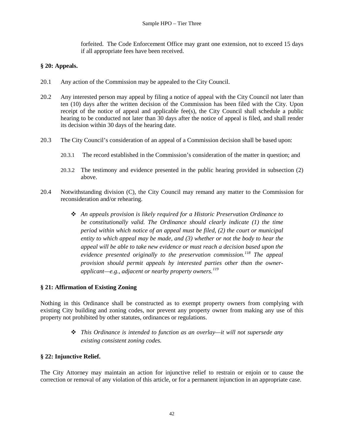forfeited. The Code Enforcement Office may grant one extension, not to exceed 15 days if all appropriate fees have been received.

#### <span id="page-42-0"></span>**§ 20: Appeals.**

- 20.1 Any action of the Commission may be appealed to the City Council.
- 20.2 Any interested person may appeal by filing a notice of appeal with the City Council not later than ten (10) days after the written decision of the Commission has been filed with the City. Upon receipt of the notice of appeal and applicable fee(s), the City Council shall schedule a public hearing to be conducted not later than 30 days after the notice of appeal is filed, and shall render its decision within 30 days of the hearing date.
- 20.3 The City Council's consideration of an appeal of a Commission decision shall be based upon:
	- 20.3.1 The record established in the Commission's consideration of the matter in question; and
	- 20.3.2 The testimony and evidence presented in the public hearing provided in subsection (2) above.
- 20.4 Notwithstanding division (C), the City Council may remand any matter to the Commission for reconsideration and/or rehearing.
	- *An appeals provision is likely required for a Historic Preservation Ordinance to be constitutionally valid. The Ordinance should clearly indicate (1) the time period within which notice of an appeal must be filed, (2) the court or municipal entity to which appeal may be made, and (3) whether or not the body to hear the appeal will be able to take new evidence or must reach a decision based upon the evidence presented originally to the preservation commission.[118](#page-53-10) The appeal provision should permit appeals by interested parties other than the ownerapplicant—e.g., adjacent or nearby property owners.[119](#page-53-11)*

#### <span id="page-42-1"></span>**§ 21: Affirmation of Existing Zoning**

Nothing in this Ordinance shall be constructed as to exempt property owners from complying with existing City building and zoning codes, nor prevent any property owner from making any use of this property not prohibited by other statutes, ordinances or regulations.

> *This Ordinance is intended to function as an overlay—it will not supersede any existing consistent zoning codes.*

#### <span id="page-42-2"></span>**§ 22: Injunctive Relief.**

The City Attorney may maintain an action for injunctive relief to restrain or enjoin or to cause the correction or removal of any violation of this article, or for a permanent injunction in an appropriate case.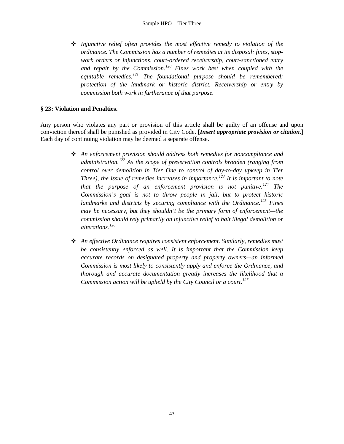*Injunctive relief often provides the most effective remedy to violation of the ordinance. The Commission has a number of remedies at its disposal: fines, stopwork orders or injunctions, court-ordered receivership, court-sanctioned entry and repair by the Commission.[120](#page-53-12) Fines work best when coupled with the equitable remedies.[121](#page-53-13) The foundational purpose should be remembered: protection of the landmark or historic district. Receivership or entry by commission both work in furtherance of that purpose.*

#### <span id="page-43-0"></span>**§ 23: Violation and Penalties.**

Any person who violates any part or provision of this article shall be guilty of an offense and upon conviction thereof shall be punished as provided in City Code. [*Insert appropriate provision or citation*.] Each day of continuing violation may be deemed a separate offense.

- *An enforcement provision should address both remedies for noncompliance and administration.[122](#page-53-14) As the scope of preservation controls broaden (ranging from control over demolition in Tier One to control of day-to-day upkeep in Tier Three), the issue of remedies increases in importance.[123](#page-53-15) It is important to note that the purpose of an enforcement provision is not punitive.[124](#page-53-16) The Commission's goal is not to throw people in jail, but to protect historic landmarks and districts by securing compliance with the Ordinance.[125](#page-53-17) Fines may be necessary, but they shouldn't be the primary form of enforcement—the commission should rely primarily on injunctive relief to halt illegal demolition or alterations.[126](#page-53-18)*
- *An effective Ordinance requires consistent enforcement. Similarly, remedies must be consistently enforced as well. It is important that the Commission keep accurate records on designated property and property owners—an informed Commission is most likely to consistently apply and enforce the Ordinance, and thorough and accurate documentation greatly increases the likelihood that a Commission action will be upheld by the City Council or a court.[127](#page-53-19)*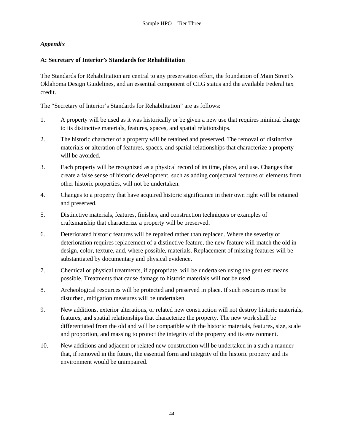#### <span id="page-44-0"></span>*Appendix*

#### <span id="page-44-1"></span>**A: Secretary of Interior's Standards for Rehabilitation**

The Standards for Rehabilitation are central to any preservation effort, the foundation of Main Street's Oklahoma Design Guidelines, and an essential component of CLG status and the available Federal tax credit.

The "Secretary of Interior's Standards for Rehabilitation" are as follows:

- 1. A property will be used as it was historically or be given a new use that requires minimal change to its distinctive materials, features, spaces, and spatial relationships.
- 2. The historic character of a property will be retained and preserved. The removal of distinctive materials or alteration of features, spaces, and spatial relationships that characterize a property will be avoided.
- 3. Each property will be recognized as a physical record of its time, place, and use. Changes that create a false sense of historic development, such as adding conjectural features or elements from other historic properties, will not be undertaken.
- 4. Changes to a property that have acquired historic significance in their own right will be retained and preserved.
- 5. Distinctive materials, features, finishes, and construction techniques or examples of craftsmanship that characterize a property will be preserved.
- 6. Deteriorated historic features will be repaired rather than replaced. Where the severity of deterioration requires replacement of a distinctive feature, the new feature will match the old in design, color, texture, and, where possible, materials. Replacement of missing features will be substantiated by documentary and physical evidence.
- 7. Chemical or physical treatments, if appropriate, will be undertaken using the gentlest means possible. Treatments that cause damage to historic materials will not be used.
- 8. Archeological resources will be protected and preserved in place. If such resources must be disturbed, mitigation measures will be undertaken.
- 9. New additions, exterior alterations, or related new construction will not destroy historic materials, features, and spatial relationships that characterize the property. The new work shall be differentiated from the old and will be compatible with the historic materials, features, size, scale and proportion, and massing to protect the integrity of the property and its environment.
- 10. New additions and adjacent or related new construction will be undertaken in a such a manner that, if removed in the future, the essential form and integrity of the historic property and its environment would be unimpaired.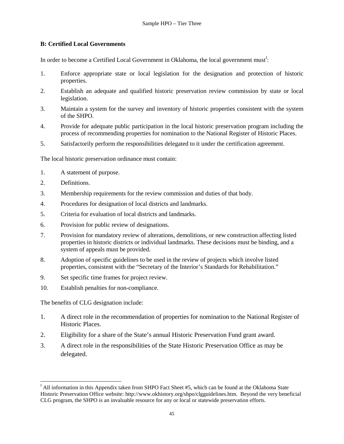#### <span id="page-45-0"></span>**B: Certified Local Governments**

In order to become a Certi[f](#page-7-1)ied Local Government in Oklahoma, the local government must<sup>f</sup>:

- 1. Enforce appropriate state or local legislation for the designation and protection of historic properties.
- 2. Establish an adequate and qualified historic preservation review commission by state or local legislation.
- 3. Maintain a system for the survey and inventory of historic properties consistent with the system of the SHPO.
- 4. Provide for adequate public participation in the local historic preservation program including the process of recommending properties for nomination to the National Register of Historic Places.
- 5. Satisfactorily perform the responsibilities delegated to it under the certification agreement.

The local historic preservation ordinance must contain:

- 1. A statement of purpose.
- 2. Definitions.
- 3. Membership requirements for the review commission and duties of that body.
- 4. Procedures for designation of local districts and landmarks.
- 5. Criteria for evaluation of local districts and landmarks.
- 6. Provision for public review of designations.
- 7. Provision for mandatory review of alterations, demolitions, or new construction affecting listed properties in historic districts or individual landmarks. These decisions must be binding, and a system of appeals must be provided.
- 8. Adoption of specific guidelines to be used in the review of projects which involve listed properties, consistent with the "Secretary of the Interior's Standards for Rehabilitation."
- 9. Set specific time frames for project review.
- 10. Establish penalties for non-compliance.

The benefits of CLG designation include:

- 1. A direct role in the recommendation of properties for nomination to the National Register of Historic Places.
- 2. Eligibility for a share of the State's annual Historic Preservation Fund grant award.
- 3. A direct role in the responsibilities of the State Historic Preservation Office as may be delegated.

f All information in this Appendix taken from SHPO Fact Sheet #5, which can be found at the Oklahoma State Historic Preservation Office website: http://www.okhistory.org/shpo/clgguidelines.htm. Beyond the very beneficial CLG program, the SHPO is an invaluable resource for any or local or statewide preservation efforts.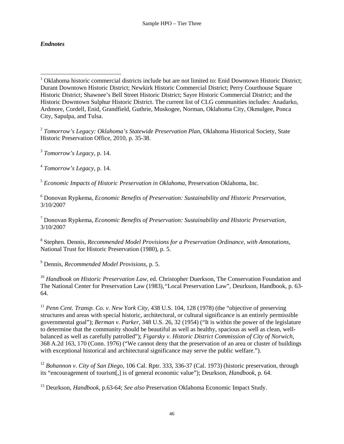#### <span id="page-46-0"></span>*Endnotes*

<span id="page-46-2"></span><sup>2</sup> *Tomorrow's Legacy: Oklahoma's Statewide Preservation Plan*, Oklahoma Historical Society, State Historic Preservation Office, 2010, p. 35-38.

<span id="page-46-3"></span><sup>3</sup> *Tomorrow's Legacy*, p. 14.

<span id="page-46-4"></span><sup>4</sup> *Tomorrow's Legacy,* p. 14.

<span id="page-46-5"></span><sup>5</sup> *Economic Impacts of Historic Preservation in Oklahoma*, Preservation Oklahoma, Inc.

<span id="page-46-6"></span><sup>6</sup> Donovan Rypkema, *Economic Benefits of Preservation: Sustainability and Historic Preservation*, 3/10/2007

<span id="page-46-7"></span><sup>7</sup> Donovan Rypkema, *Economic Benefits of Preservation: Sustainability and Historic Preservation*, 3/10/2007

<span id="page-46-8"></span><sup>8</sup> Stephen. Dennis, *Recommended Model Provisions for a Preservation Ordinance, with Annotations*, National Trust for Historic Preservation (1980), p. 5.

<span id="page-46-9"></span><sup>9</sup> Dennis, *Recommended Model Provisions*, p. 5.

<span id="page-46-10"></span><sup>10</sup> *Handbook on Historic Preservation Law, ed. Christopher Duerkson, The Conservation Foundation and* The National Center for Preservation Law (1983),*"*Local Preservation Law", Deurkson, Handbook, p. 63- 64.

<span id="page-46-11"></span><sup>11</sup> *Penn Cent. Transp. Co. v. New York City,* 438 U.S. 104, 128 (1978) (the "objective of preserving structures and areas with special historic, architectural, or cultural significance is an entirely permissible governmental goal"); *Berman v. Parker*, 348 U.S. 26, 32 (1954) ("It is within the power of the legislature to determine that the community should be beautiful as well as healthy, spacious as well as clean, wellbalanced as well as carefully patrolled"); *Figarsky v. Historic District Commission of City of Norwich*, 368 A.2d 163, 170 (Conn. 1976) ("We cannot deny that the preservation of an area or cluster of buildings with exceptional historical and architectural significance may serve the public welfare.").

<span id="page-46-12"></span><sup>12</sup> *Bohannon v. City of San Diego,* 106 Cal. Rptr. 333, 336-37 (Cal. 1973) (historic preservation, through its "encouragement of tourism[,] is of general economic value"); Deurkson, *Handbook*, p. 64.

<span id="page-46-13"></span><sup>13</sup> Deurkson, *Handbook*, p.63-64; *See also* Preservation Oklahoma Economic Impact Study.

<span id="page-46-1"></span><sup>&</sup>lt;sup>1</sup> Oklahoma historic commercial districts include but are not limited to: Enid Downtown Historic District; Durant Downtown Historic District; Newkirk Historic Commercial District; Perry Courthouse Square Historic District; Shawnee's Bell Street Historic District; Sayre Historic Commercial District; and the Historic Downtown Sulphur Historic District. The current list of CLG communities includes: Anadarko, Ardmore, Cordell, Enid, Grandfield, Guthrie, Muskogee, Norman, Oklahoma City, Okmulgee, Ponca City, Sapulpa, and Tulsa.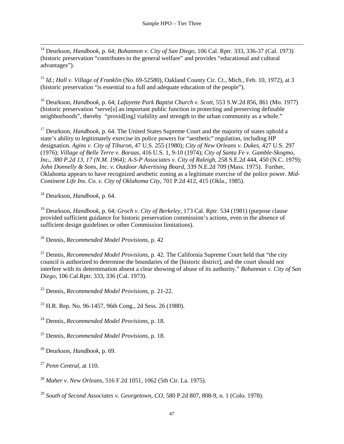<span id="page-47-0"></span> 14 Deurkson, *Handbook*, p. 64; *Bohannon v. City of San Diego,* 106 Cal. Rptr. 333, 336-37 (Cal. 1973) (historic preservation "contributes to the general welfare" and provides "educational and cultural advantages").

<span id="page-47-1"></span><sup>15</sup> *Id.*; *Hall v. Village of Franklin* (No. 69-52580), Oakland County Cir. Ct., Mich., Feb. 10, 1972), at 3 (historic preservation "is essential to a full and adequate education of the people").

<span id="page-47-2"></span><sup>16</sup> Deurkson, *Handbook*, p. 64; *Lafayette Park Baptist Church v. Scott*, 553 S.W.2d 856, 861 (Mo. 1977) (historic preservation "serve[s] an important public function in protecting and preserving definable neighborhoods", thereby "provid[ing] viability and strength to the urban community as a whole."

<span id="page-47-3"></span><sup>17</sup> Deurkson, *Handbook*, p. 64. The United States Supreme Court and the majority of states uphold a state's ability to legitimately exercise its police powers for "aesthetic" regulation, including HP designation. *Agins v. City of Tiburon*, 47 U.S. 255 (1980); *City of New Orleans v. Dukes*, 427 U.S. 297 (1976); *Village of Belle Terre v. Boraas*, 416 U.S. 1, 9-10 (1974); *City of Santa Fe v. Gamble-Skogmo, Inc., 380 P.2d 13, 17 (N.M. 1964); A-S-P Associates v. City of Raleigh*, 258 S.E.2d 444, 450 (N.C. 1979); *John Donnelly & Sons, Inc. v. Outdoor Advertising Board*, 339 N.E.2d 709 (Mass. 1975). Further, Oklahoma appears to have recognized aesthetic zoning as a legitimate exercise of the police power. *Mid-Continent Life Ins. Co. v. City of Oklahoma City*, 701 P.2d 412, 415 (Okla., 1985).

<span id="page-47-4"></span><sup>18</sup> Deurkson, *Handbook*, p. 64.

<span id="page-47-5"></span><sup>19</sup> Deurkson, *Handbook*, p. 64; *Groch v. City of Berkeley*, 173 Cal. Rptr. 534 (1981) (purpose clause provided sufficient guidance for historic preservation commission's actions, even in the absence of sufficient design guidelines or other Commission limitations).

<span id="page-47-6"></span><sup>20</sup> Dennis, *Recommended Model Provisions*, p. 42

<span id="page-47-7"></span><sup>21</sup> Dennis, *Recommended Model Provisions*, p. 42. The California Supreme Court held that "the city council is authorized to determine the boundaries of the [historic district], and the court should not interfere with its determination absent a clear showing of abuse of its authority." *Bohannan v. City of San Diego*, 106 Cal.Rptr. 333, 336 (Cal. 1973).

<span id="page-47-8"></span><sup>22</sup> Dennis, *Recommended Model Provisions*, p. 21-22.

<span id="page-47-9"></span><sup>23</sup> H.R. Rep. No. 96-1457, 96th Cong., 2d Sess. 26 (1980).

<span id="page-47-10"></span><sup>24</sup> Dennis, *Recommended Model Provisions*, p. 18.

<span id="page-47-11"></span><sup>25</sup> Dennis, *Recommended Model Provisions*, p. 18.

<span id="page-47-12"></span><sup>26</sup> Deurkson, *Handbook*, p. 69.

<span id="page-47-13"></span><sup>27</sup> *Penn Central,* at 110.

<span id="page-47-14"></span><sup>28</sup> *Maher v. New Orleans,* 516 F.2d 1051, 1062 (5th Cir. La. 1975).

<span id="page-47-15"></span><sup>29</sup> *South of Second Associates v. Georgetown, CO*, 580 P.2d 807, 808-9, n. 1 (Colo. 1978).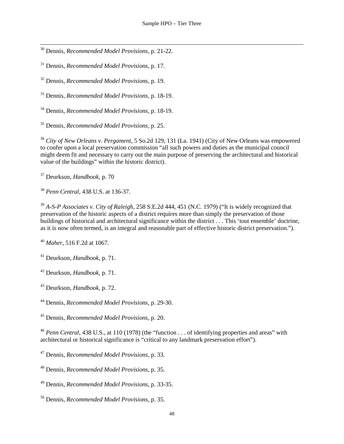<span id="page-48-0"></span>Dennis, *Recommended Model Provisions*, p. 21-22.

<span id="page-48-1"></span>Dennis, *Recommended Model Provisions*, p. 17.

<span id="page-48-2"></span>Dennis, *Recommended Model Provisions*, p. 19.

<span id="page-48-3"></span>Dennis, *Recommended Model Provisions*, p. 18-19.

<span id="page-48-4"></span>Dennis, *Recommended Model Provisions*, p. 18-19.

<span id="page-48-5"></span>Dennis, *Recommended Model Provisions*, p. 25.

<span id="page-48-6"></span> *City of New Orleans v. Pergament*, 5 So.2d 129, 131 (La. 1941) (City of New Orleans was empowered to confer upon a local preservation commission "all such powers and duties as the municipal council might deem fit and necessary to carry out the main purpose of preserving the architectural and historical value of the buildings" within the historic district).

<span id="page-48-7"></span>Deurkson, *Handbook*, p. 70

<span id="page-48-8"></span>*Penn Central*, 438 U.S. at 136-37.

<span id="page-48-9"></span> *A-S-P Associates v. City of Raleigh*, 258 S.E.2d 444, 451 (N.C. 1979) ("It is widely recognized that preservation of the historic aspects of a district requires more than simply the preservation of those buildings of historical and architectural significance within the district . . . This 'tout ensemble' doctrine, as it is now often termed, is an integral and reasonable part of effective historic district preservation.").

<span id="page-48-10"></span>*Maher*, 516 F.2d at 1067.

<span id="page-48-11"></span>Deurkson, *Handbook*, p. 71.

<span id="page-48-12"></span>Deurkson, *Handbook*, p. 71.

<span id="page-48-13"></span>Deurkson, *Handbook*, p. 72.

<span id="page-48-14"></span>Dennis, *Recommended Model Provisions*, p. 29-30.

<span id="page-48-15"></span>Dennis, *Recommended Model Provisions*, p. 20.

<span id="page-48-16"></span> *Penn Central*, 438 U.S., at 110 (1978) (the "function . . . of identifying properties and areas" with architectural or historical significance is "critical to any landmark preservation effort").

<span id="page-48-17"></span>Dennis, *Recommended Model Provisions*, p. 33.

<span id="page-48-18"></span>Dennis, *Recommended Model Provisions*, p. 35.

<span id="page-48-19"></span>Dennis, *Recommended Model Provisions*, p. 33-35.

<span id="page-48-20"></span>Dennis, *Recommended Model Provisions*, p. 35.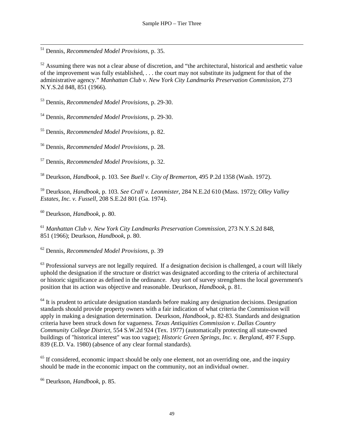<span id="page-49-0"></span>51 Dennis, *Recommended Model Provisions*, p. 35.

<span id="page-49-1"></span><sup>52</sup> Assuming there was not a clear abuse of discretion, and "the architectural, historical and aesthetic value of the improvement was fully established, . . . the court may not substitute its judgment for that of the administrative agency." *Manhattan Club v. New York City Landmarks Preservation Commission*, 273 N.Y.S.2d 848, 851 (1966).

<span id="page-49-2"></span><sup>53</sup> Dennis, *Recommended Model Provisions*, p. 29-30.

<span id="page-49-3"></span><sup>54</sup> Dennis, *Recommended Model Provisions*, p. 29-30.

<span id="page-49-4"></span><sup>55</sup> Dennis, *Recommended Model Provisions*, p. 82.

<span id="page-49-5"></span><sup>56</sup> Dennis, *Recommended Model Provisions*, p. 28.

<span id="page-49-6"></span><sup>57</sup> Dennis, *Recommended Model Provisions*, p. 32.

<span id="page-49-7"></span><sup>58</sup> Deurkson, *Handbook*, p. 103. See *Buell v. City of Bremerton*, 495 P.2d 1358 (Wash. 1972).

<span id="page-49-8"></span><sup>59</sup> Deurkson, *Handbook*, p. 103. *See Crall v. Leonmister*, 284 N.E.2d 610 (Mass. 1972); *Olley Valley Estates, Inc. v. Fussell*, 208 S.E.2d 801 (Ga. 1974).

<span id="page-49-9"></span><sup>60</sup> Deurkson, *Handbook*, p. 80.

<span id="page-49-10"></span><sup>61</sup> *Manhattan Club v. New York City Landmarks Preservation Commission*, 273 N.Y.S.2d 848, 851 (1966); Deurkson, *Handbook*, p. 80.

<span id="page-49-11"></span><sup>62</sup> Dennis, *Recommended Model Provisions*, p. 39

<span id="page-49-12"></span> $63$  Professional surveys are not legally required. If a designation decision is challenged, a court will likely uphold the designation if the structure or district was designated according to the criteria of architectural or historic significance as defined in the ordinance. Any sort of survey strengthens the local government's position that its action was objective and reasonable. Deurkson, *Handbook*, p. 81.

<span id="page-49-13"></span> $64$  It is prudent to articulate designation standards before making any designation decisions. Designation standards should provide property owners with a fair indication of what criteria the Commission will apply in making a designation determination. Deurkson, *Handbook*, p. 82-83. Standards and designation criteria have been struck down for vagueness. *Texas Antiquities Commission v. Dallas Country Community College District*, 554 S.W.2d 924 (Tex. 1977) (automatically protecting all state-owned buildings of "historical interest" was too vague); *Historic Green Springs, Inc. v. Bergland*, 497 F.Supp. 839 (E.D. Va. 1980) (absence of any clear formal standards).

<span id="page-49-14"></span> $<sup>65</sup>$  If considered, economic impact should be only one element, not an overriding one, and the inquiry</sup> should be made in the economic impact on the community, not an individual owner.

<span id="page-49-15"></span><sup>66</sup> Deurkson, *Handbook*, p. 85.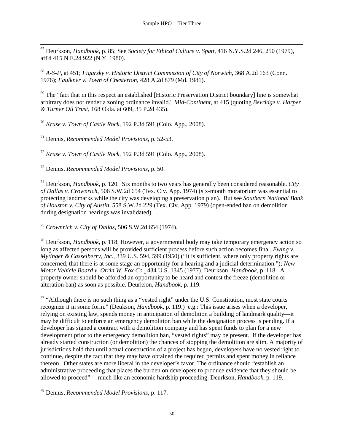<span id="page-50-0"></span> 67 Deurkson, *Handbook*, p. 85; See *Society for Ethical Culture v. Spatt*, 416 N.Y.S.2d 246, 250 (1979), aff'd 415 N.E.2d 922 (N.Y. 1980).

<span id="page-50-1"></span><sup>68</sup> *A-S-P*, at 451; *Figarsky v. Historic District Commission of City of Norwich*, 368 A.2d 163 (Conn. 1976); *Faulkner v. Town of Chesterton*, 428 A.2d 879 (Md. 1981).

<span id="page-50-2"></span> $69$  The "fact that in this respect an established [Historic Preservation District boundary] line is somewhat arbitrary does not render a zoning ordinance invalid." *Mid-Continent*, at 415 (quoting *Bevridge v. Harper & Turner Oil Trust*, 168 Okla. at 609, 35 P.2d 435).

<span id="page-50-3"></span><sup>70</sup> *Kruse v. Town of Castle Rock*, 192 P.3d 591 (Colo. App., 2008).

<span id="page-50-4"></span><sup>71</sup> Dennis, *Recommended Model Provisions*, p. 52-53.

<span id="page-50-5"></span><sup>72</sup> *Kruse v. Town of Castle Rock*, 192 P.3d 591 (Colo. App., 2008).

<span id="page-50-6"></span><sup>73</sup> Dennis, *Recommended Model Provisions*, p. 50.

<span id="page-50-7"></span><sup>74</sup> Deurkson, *Handbook*, p. 120. Six months to two years has generally been considered reasonable. *City of Dallas v. Crownrich*, 506 S.W.2d 654 (Tex. Civ. App. 1974) (six-month moratorium was essential to protecting landmarks while the city was developing a preservation plan). But see *Southern National Bank of Houston v. City of Austin*, 558 S.W.2d 229 (Tex. Civ. App. 1979) (open-ended ban on demolition during designation hearings was invalidated).

<span id="page-50-8"></span><sup>75</sup> *Crownrich v. City of Dallas*, 506 S.W.2d 654 (1974).

<span id="page-50-9"></span><sup>76</sup> Deurkson, *Handbook*, p. 118. However, a governmental body may take temporary emergency action so long as affected persons will be provided sufficient process before such action becomes final. *Ewing v. Mytinger & Casselberry, Inc.*, 339 U.S. 594, 599 (1950) ("It is sufficient, where only property rights are concerned, that there is at some stage an opportunity for a hearing and a judicial determination."); *New Motor Vehicle Board v. Orrin W. Fox Co.*, 434 U.S. 1345 (1977). Deurkson, *Handbook*, p. 118. A property owner should be afforded an opportunity to be heard and contest the freeze (demolition or alteration ban) as soon as possible. Deurkson, *Handbook*, p. 119.

<span id="page-50-10"></span> $77$  "Although there is no such thing as a "vested right" under the U.S. Constitution, most state courts recognize it in some form." (Deukson, *Handbook*, p. 119.) e.g.: This issue arises when a developer, relying on existing law, spends money in anticipation of demolition a building of landmark quality—it may be difficult to enforce an emergency demolition ban while the designation process is pending. If a developer has signed a contract with a demolition company and has spent funds to plan for a new development prior to the emergency demolition ban, "vested rights" may be present. If the developer has already started construction (or demolition) the chances of stopping the demolition are slim. A majority of jurisdictions hold that until actual construction of a project has begun, developers have no vested right to continue, despite the fact that they may have obtained the required permits and spent money in reliance thereon. Other states are more liberal in the developer's favor. The ordinance should "establish an administrative proceeding that places the burden on developers to produce evidence that they should be allowed to proceed" —much like an economic hardship proceeding. Deurkson, *Handbook*, p. 119.

<span id="page-50-11"></span><sup>78</sup> Dennis, *Recommended Model Provisions*, p. 117.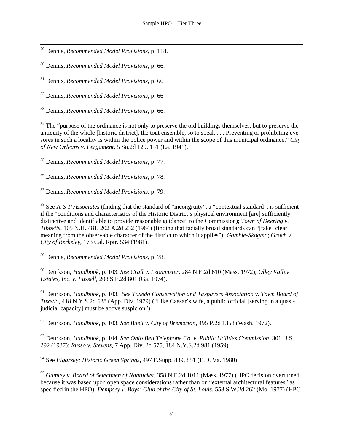<span id="page-51-0"></span>79 Dennis, *Recommended Model Provisions*, p. 118.

<span id="page-51-1"></span><sup>80</sup> Dennis, *Recommended Model Provisions*, p. 66.

<span id="page-51-2"></span><sup>81</sup> Dennis, *Recommended Model Provisions*, p. 66

<span id="page-51-3"></span><sup>82</sup> Dennis, *Recommended Model Provisions*, p. 66

<span id="page-51-4"></span><sup>83</sup> Dennis, *Recommended Model Provisions*, p. 66.

<span id="page-51-5"></span><sup>84</sup> The "purpose of the ordinance is not only to preserve the old buildings themselves, but to preserve the antiquity of the whole [historic district], the tout ensemble, so to speak . . . Preventing or prohibiting eye sores in such a locality is within the police power and within the scope of this municipal ordinance." *City of New Orleans v. Pergament*, 5 So.2d 129, 131 (La. 1941).

<span id="page-51-6"></span><sup>85</sup> Dennis, *Recommended Model Provisions*, p. 77.

<span id="page-51-7"></span><sup>86</sup> Dennis, *Recommended Model Provisions*, p. 78.

<span id="page-51-8"></span><sup>87</sup> Dennis, *Recommended Model Provisions*, p. 79.

<span id="page-51-9"></span><sup>88</sup> See A*-S-P Associates* (finding that the standard of "incongruity", a "contextual standard", is sufficient if the "conditions and characteristics of the Historic District's physical environment [are] sufficiently distinctive and identifiable to provide reasonable guidance" to the Commission); *Town of Deering v. Tibbetts*, 105 N.H. 481, 202 A.2d 232 (1964) (finding that facially broad standards can "[take] clear meaning from the observable character of the district to which it applies"); *Gamble-Skogmo*; *Groch v. City of Berkeley*, 173 Cal. Rptr. 534 (1981).

<span id="page-51-10"></span><sup>89</sup> Dennis, *Recommended Model Provisions*, p. 78.

<span id="page-51-11"></span><sup>90</sup> Deurkson, *Handbook*, p. 103. *See Crall v. Leonmister*, 284 N.E.2d 610 (Mass. 1972); *Olley Valley Estates, Inc. v. Fussell*, 208 S.E.2d 801 (Ga. 1974).

<span id="page-51-12"></span><sup>91</sup> Deurkson, *Handbook*, p. 103. *See Tuxedo Conservation and Taxpayers Association v. Town Board of Tuxedo*, 418 N.Y.S.2d 638 (App. Div. 1979) ("Like Caesar's wife, a public official [serving in a quasijudicial capacity] must be above suspicion").

<span id="page-51-13"></span><sup>92</sup> Deurkson, *Handbook*, p. 103. *See Buell v. City of Bremerton*, 495 P.2d 1358 (Wash. 1972).

<span id="page-51-14"></span><sup>93</sup> Deurkson, *Handbook*, p. 104. *See Ohio Bell Telephone Co. v. Public Utilities Commission*, 301 U.S. 292 (1937); *Russo v. Stevens*, 7 App. Div. 2d 575, 184 N.Y.S.2d 981 (1959)

<span id="page-51-15"></span><sup>94</sup> See *Figarsky; Historic Green Springs*, 497 F.Supp. 839, 851 (E.D. Va. 1980).

<span id="page-51-16"></span><sup>95</sup> *Gumley v. Board of Selectmen of Nantucket*, 358 N.E.2d 1011 (Mass. 1977) (HPC decision overturned because it was based upon open space considerations rather than on "external architectural features" as specified in the HPO); *Dempsey v. Boys' Club of the City of St. Louis*, 558 S.W.2d 262 (Mo. 1977) (HPC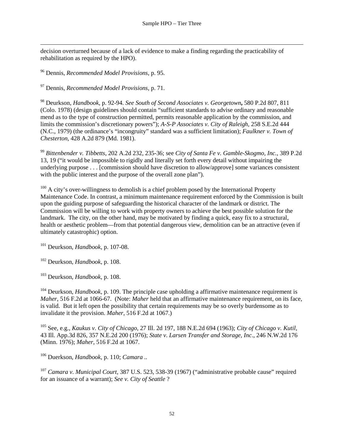$\overline{a}$ decision overturned because of a lack of evidence to make a finding regarding the practicability of rehabilitation as required by the HPO).

<span id="page-52-0"></span><sup>96</sup> Dennis, *Recommended Model Provisions*, p. 95.

<span id="page-52-1"></span><sup>97</sup> Dennis, *Recommended Model Provisions*, p. 71.

<span id="page-52-2"></span><sup>98</sup> Deurkson, *Handbook*, p. 92-94. *See South of Second Associates v. Georgetown***,** 580 P.2d 807, 811 (Colo. 1978) (design guidelines should contain "sufficient standards to advise ordinary and reasonable mend as to the type of construction permitted, permits reasonable application by the commission, and limits the commission's discretionary powers"); *A-S-P Associates v. City of Raleigh*, 258 S.E.2d 444 (N.C., 1979) (the ordinance's "incongruity" standard was a sufficient limitation); *Faulkner v. Town of Chesterton,* 428 A.2d 879 (Md. 1981).

<span id="page-52-3"></span><sup>99</sup> *Bittenbender v. Tibbetts*, 202 A.2d 232, 235-36; see *City of Santa Fe v. Gamble-Skogmo, Inc.*, 389 P.2d 13, 19 ("it would be impossible to rigidly and literally set forth every detail without impairing the underlying purpose . . . [commission should have discretion to allow/approve] some variances consistent with the public interest and the purpose of the overall zone plan").

<span id="page-52-4"></span> $100$  A city's over-willingness to demolish is a chief problem posed by the International Property Maintenance Code. In contrast, a minimum maintenance requirement enforced by the Commission is built upon the guiding purpose of safeguarding the historical character of the landmark or district. The Commission will be willing to work with property owners to achieve the best possible solution for the landmark. The city, on the other hand, may be motivated by finding a quick, easy fix to a structural, health or aesthetic problem—from that potential dangerous view, demolition can be an attractive (even if ultimately catastrophic) option.

<span id="page-52-5"></span><sup>101</sup> Deurkson, *Handbook*, p. 107-08.

<span id="page-52-6"></span><sup>102</sup> Deurkson, *Handbook*, p. 108.

<span id="page-52-7"></span><sup>103</sup> Deurkson, *Handbook*, p. 108.

<span id="page-52-8"></span><sup>104</sup> Deurkson, *Handbook*, p. 109. The principle case upholding a affirmative maintenance requirement is *Maher*, 516 F.2d at 1066-67. (Note: *Maher* held that an affirmative maintenance requirement, on its face, is valid. But it left open the possibility that certain requirements may be so overly burdensome as to invalidate it the provision. *Maher*, 516 F.2d at 1067.)

<span id="page-52-9"></span><sup>105</sup> See, e.g., *Kaukus v. City of Chicago*, 27 Ill. 2d 197, 188 N.E.2d 694 (1963); *City of Chicago v. Kutil*, 43 Ill. App.3d 826, 357 N.E.2d 200 (1976); *State v. Larsen Transfer and Storage, Inc*., 246 N.W.2d 176 (Minn. 1976); *Maher*, 516 F.2d at 1067.

<span id="page-52-10"></span><sup>106</sup> Duerkson, *Handbook*, p. 110; *Camara ..*

<span id="page-52-11"></span><sup>107</sup> *Camara v. Municipal Court*, 387 U.S. 523, 538-39 (1967) ("administrative probable cause" required for an issuance of a warrant); *See v. City of Seattle* ?